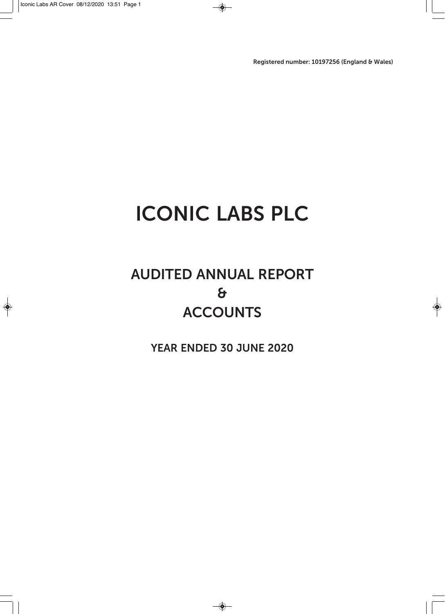**Registered number: 10197256 (England & Wales)**

### **ICONIC LABS PLC**

### **AUDITED ANNUAL REPORT & ACCOUNTS**

**YEAR ENDED 30 JUNE 2020**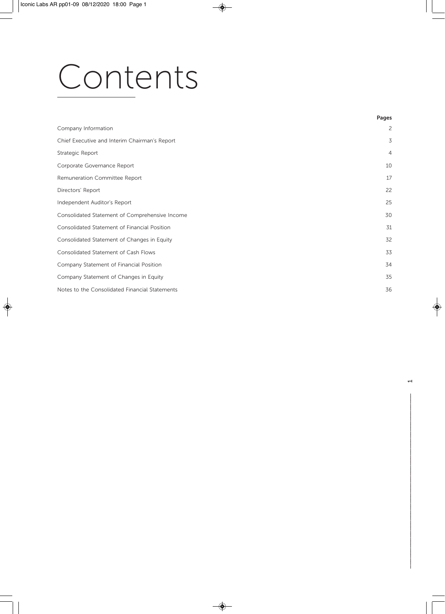# Contents

|                                                | Pages          |
|------------------------------------------------|----------------|
| Company Information                            | $\overline{c}$ |
| Chief Executive and Interim Chairman's Report  | 3              |
| Strategic Report                               | $\overline{4}$ |
| Corporate Governance Report                    | 10             |
| Remuneration Committee Report                  | 17             |
| Directors' Report                              | 22             |
| Independent Auditor's Report                   | 25             |
| Consolidated Statement of Comprehensive Income | 30             |
| Consolidated Statement of Financial Position   | 31             |
| Consolidated Statement of Changes in Equity    | 32             |
| Consolidated Statement of Cash Flows           | 33             |
| Company Statement of Financial Position        | 34             |
| Company Statement of Changes in Equity         | 35             |
| Notes to the Consolidated Financial Statements | 36             |
|                                                |                |

––––––––––––––––––––––––––––––––––––––––––––––––––– 1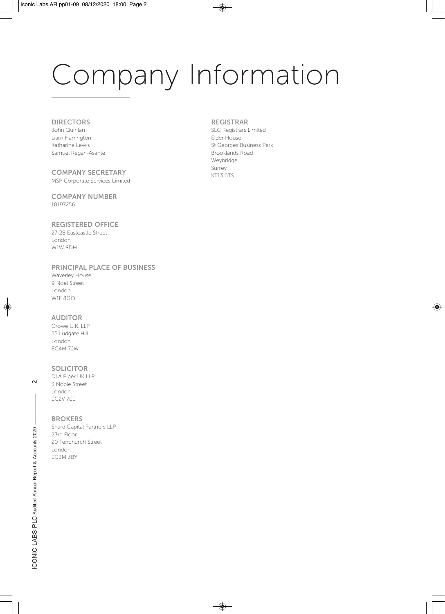# Company Information

#### **DIRECTORS**

John Quinlan Liam Harrington Katharine Lewis Samuel Regan-Asante

**COMPANY SECRETARY**  MSP Corporate Services Limited

**COMPANY NUMBER**  10197256

#### **REGISTERED OFFICE**  27-28 Eastcastle Street

London W1W 8DH

#### **PRINCIPAL PLACE OF BUSINESS**

| <b>Waverley House</b> |
|-----------------------|
| 9 Noel Street         |
| London                |
| W1F 8GQ               |

#### **AUDITOR**

Crowe U.K. LLP 55 Ludgate Hill London EC4M 7JW

#### **SOLICITOR**

DLA Piper UK LLP 3 Noble Street London EC2V 7EE

**BROKERS** 

Shard Capital Partners LLP 23rd Floor 20 Fenchurch Street London EC3M 3BY

#### **REGISTRAR**

SLC Registrars Limited Elder House St Georges Business Park Brooklands Road Weybridge Surrey KT13 0TS

 $\sim$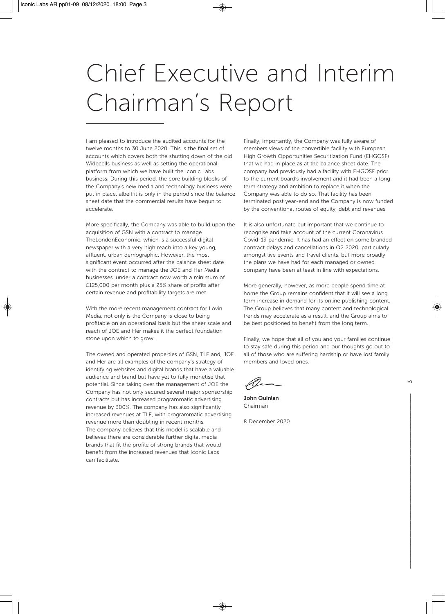### Chief Executive and Interim Chairman's Report

I am pleased to introduce the audited accounts for the twelve months to 30 June 2020. This is the final set of accounts which covers both the shutting down of the old Widecells business as well as setting the operational platform from which we have built the Iconic Labs business. During this period, the core building blocks of the Company's new media and technology business were put in place, albeit it is only in the period since the balance sheet date that the commercial results have begun to accelerate.

More specifically, the Company was able to build upon the acquisition of GSN with a contract to manage TheLondonEconomic, which is a successful digital newspaper with a very high reach into a key young, affluent, urban demographic. However, the most significant event occurred after the balance sheet date with the contract to manage the JOE and Her Media businesses, under a contract now worth a minimum of £125,000 per month plus a 25% share of profits after certain revenue and profitability targets are met.

With the more recent management contract for Lovin Media, not only is the Company is close to being profitable on an operational basis but the sheer scale and reach of JOE and Her makes it the perfect foundation stone upon which to grow.

The owned and operated properties of GSN, TLE and, JOE and Her are all examples of the company's strategy of identifying websites and digital brands that have a valuable audience and brand but have yet to fully monetise that potential. Since taking over the management of JOE the Company has not only secured several major sponsorship contracts but has increased programmatic advertising revenue by 300%. The company has also significantly increased revenues at TLE, with programmatic advertising revenue more than doubling in recent months. The company believes that this model is scalable and believes there are considerable further digital media brands that fit the profile of strong brands that would benefit from the increased revenues that Iconic Labs can facilitate.

Finally, importantly, the Company was fully aware of members views of the convertible facility with European High Growth Opportunities Securitization Fund (EHGOSF) that we had in place as at the balance sheet date. The company had previously had a facility with EHGOSF prior to the current board's involvement and it had been a long term strategy and ambition to replace it when the Company was able to do so. That facility has been terminated post year-end and the Company is now funded by the conventional routes of equity, debt and revenues.

It is also unfortunate but important that we continue to recognise and take account of the current Coronavirus Covid-19 pandemic. It has had an effect on some branded contract delays and cancellations in Q2 2020, particularly amongst live events and travel clients, but more broadly the plans we have had for each managed or owned company have been at least in line with expectations.

More generally, however, as more people spend time at home the Group remains confident that it will see a long term increase in demand for its online publishing content. The Group believes that many content and technological trends may accelerate as a result, and the Group aims to be best positioned to benefit from the long term.

Finally, we hope that all of you and your families continue to stay safe during this period and our thoughts go out to all of those who are suffering hardship or have lost family members and loved ones.

ar

**John Quinlan**  Chairman

8 December 2020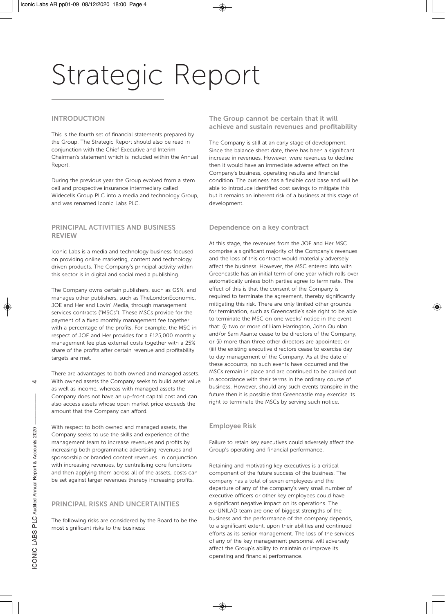#### **INTRODUCTION**

This is the fourth set of financial statements prepared by the Group. The Strategic Report should also be read in conjunction with the Chief Executive and Interim Chairman's statement which is included within the Annual Report.

During the previous year the Group evolved from a stem cell and prospective insurance intermediary called Widecells Group PLC into a media and technology Group, and was renamed Iconic Labs PLC.

#### **PRINCIPAL ACTIVITIES AND BUSINESS REVIEW**

Iconic Labs is a media and technology business focused on providing online marketing, content and technology driven products. The Company's principal activity within this sector is in digital and social media publishing.

The Company owns certain publishers, such as GSN, and manages other publishers, such as TheLondonEconomic, JOE and Her and Lovin' Media, through management services contracts ("MSCs"). These MSCs provide for the payment of a fixed monthly management fee together with a percentage of the profits. For example, the MSC in respect of JOE and Her provides for a £125,000 monthly management fee plus external costs together with a 25% share of the profits after certain revenue and profitability targets are met.

There are advantages to both owned and managed assets. With owned assets the Company seeks to build asset value as well as income, whereas with managed assets the Company does not have an up-front capital cost and can also access assets whose open market price exceeds the amount that the Company can afford.

With respect to both owned and managed assets, the Company seeks to use the skills and experience of the management team to increase revenues and profits by increasing both programmatic advertising revenues and sponsorship or branded content revenues. In conjunction with increasing revenues, by centralising core functions and then applying them across all of the assets, costs can be set against larger revenues thereby increasing profits.

#### **PRINCIPAL RISKS AND UNCERTAINTIES**

The following risks are considered by the Board to be the most significant risks to the business:

**The Group cannot be certain that it will achieve and sustain revenues and profitability** 

The Company is still at an early stage of development. Since the balance sheet date, there has been a significant increase in revenues. However, were revenues to decline then it would have an immediate adverse effect on the Company's business, operating results and financial condition. The business has a flexible cost base and will be able to introduce identified cost savings to mitigate this but it remains an inherent risk of a business at this stage of development.

#### **Dependence on a key contract**

At this stage, the revenues from the JOE and Her MSC comprise a significant majority of the Company's revenues and the loss of this contract would materially adversely affect the business. However, the MSC entered into with Greencastle has an initial term of one year which rolls over automatically unless both parties agree to terminate. The effect of this is that the consent of the Company is required to terminate the agreement, thereby significantly mitigating this risk. There are only limited other grounds for termination, such as Greencastle's sole right to be able to terminate the MSC on one weeks' notice in the event that: (i) two or more of Liam Harrington, John Quinlan and/or Sam Asante cease to be directors of the Company; or (ii) more than three other directors are appointed; or (iii) the existing executive directors cease to exercise day to day management of the Company. As at the date of these accounts, no such events have occurred and the MSCs remain in place and are continued to be carried out in accordance with their terms in the ordinary course of business. However, should any such events transpire in the future then it is possible that Greencastle may exercise its right to terminate the MSCs by serving such notice.

#### **Employee Risk**

Failure to retain key executives could adversely affect the Group's operating and financial performance.

Retaining and motivating key executives is a critical component of the future success of the business. The company has a total of seven employees and the departure of any of the company's very small number of executive officers or other key employees could have a significant negative impact on its operations. The ex-UNILAD team are one of biggest strengths of the business and the performance of the company depends, to a significant extent, upon their abilities and continued efforts as its senior management. The loss of the services of any of the key management personnel will adversely affect the Group's ability to maintain or improve its operating and financial performance.

 $\overline{ }$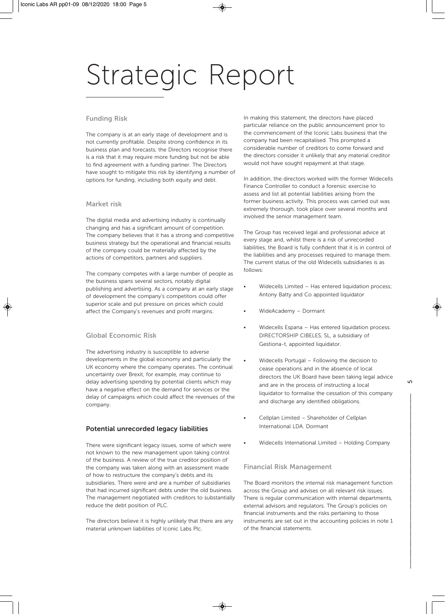#### **Funding Risk**

The company is at an early stage of development and is not currently profitable. Despite strong confidence in its business plan and forecasts, the Directors recognise there is a risk that it may require more funding but not be able to find agreement with a funding partner. The Directors have sought to mitigate this risk by identifying a number of options for funding, including both equity and debt.

#### **Market risk**

The digital media and advertising industry is continually changing and has a significant amount of competition. The company believes that it has a strong and competitive business strategy but the operational and financial results of the company could be materially affected by the actions of competitors, partners and suppliers.

The company competes with a large number of people as the business spans several sectors, notably digital publishing and advertising. As a company at an early stage of development the company's competitors could offer superior scale and put pressure on prices which could affect the Company's revenues and profit margins.

#### **Global Economic Risk**

The advertising industry is susceptible to adverse developments in the global economy and particularly the UK economy where the company operates. The continual uncertainty over Brexit, for example, may continue to delay advertising spending by potential clients which may have a negative effect on the demand for services or the delay of campaigns which could affect the revenues of the company.

#### **Potential unrecorded legacy liabilities**

There were significant legacy issues, some of which were not known to the new management upon taking control of the business. A review of the true creditor position of the company was taken along with an assessment made of how to restructure the company's debts and its subsidiaries. There were and are a number of subsidiaries that had incurred significant debts under the old business. The management negotiated with creditors to substantially reduce the debt position of PLC.

The directors believe it is highly unlikely that there are any material unknown liabilities of Iconic Labs Plc.

In making this statement, the directors have placed particular reliance on the public announcement prior to the commencement of the Iconic Labs business that the company had been recapitalised. This prompted a considerable number of creditors to come forward and the directors consider it unlikely that any material creditor would not have sought repayment at that stage.

In addition, the directors worked with the former Widecells Finance Controller to conduct a forensic exercise to assess and list all potential liabilities arising from the former business activity. This process was carried out was extremely thorough, took place over several months and involved the senior management team.

The Group has received legal and professional advice at every stage and, whilst there is a risk of unrecorded liabilities, the Board is fully confident that it is in control of the liabilities and any processes required to manage them. The current status of the old Widecells subsidiaries is as follows:

- Widecells Limited Has entered liquidation process; Antony Batty and Co appointed liquidator
- WideAcademy Dormant
- Widecells Espana Has entered liquidation process. DIRECTORSHIP CIBELES, SL, a subsidiary of Gestiona-t, appointed liquidator.
- Widecells Portugal Following the decision to cease operations and in the absence of local directors the UK Board have been taking legal advice and are in the process of instructing a local liquidator to formalise the cessation of this company and discharge any identified obligations.
- Cellplan Limited Shareholder of Cellplan International LDA. Dormant
- Widecells International Limited Holding Company

#### **Financial Risk Management**

The Board monitors the internal risk management function across the Group and advises on all relevant risk issues. There is regular communication with internal departments, external advisors and regulators. The Group's policies on financial instruments and the risks pertaining to those instruments are set out in the accounting policies in note 1 of the financial statements.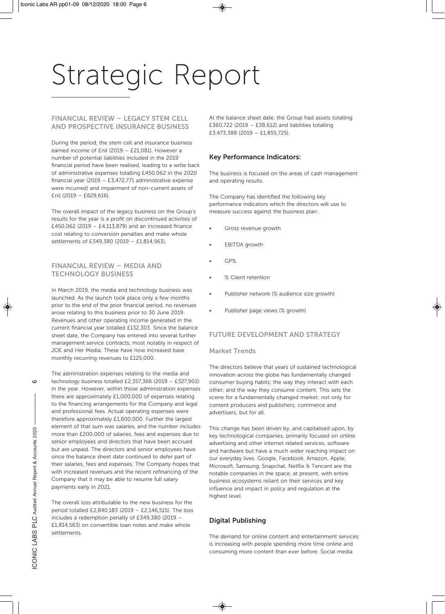#### **FINANCIAL REVIEW – LEGACY STEM CELL AND PROSPECTIVE INSURANCE BUSINESS**

During the period, the stem cell and insurance business earned income of £nil (2019 – £21,081). However a number of potential liabilities included in the 2019 financial period have been realised, leading to a write back of administrative expenses totalling £450,062 in the 2020 financial year (2019 – £3,472,771 administrative expense were incurred) and impairment of non-current assets of £nil (2019 – £629,616).

The overall impact of the legacy business on the Group's results for the year is a profit on discontinued activities of £450,062 (2019 – £4,113,879) and an increased finance cost relating to conversion penalties and make whole settlements of £349,380 (2019 – £1,814,563).

#### **FINANCIAL REVIEW – MEDIA AND TECHNOLOGY BUSINESS**

In March 2019, the media and technology business was launched. As the launch took place only a few months prior to the end of the prior financial period, no revenues arose relating to this business prior to 30 June 2019. Revenues and other operating income generated in the current financial year totalled £132,303. Since the balance sheet date, the Company has entered into several further management service contracts, most notably in respect of JOE and Her Media. These have now increased base monthly recurring revenues to £125,000.

 $\circ$ 

The administration expenses relating to the media and technology business totalled £2,357,366 (2019 – £327,902) in the year. However, within those administration expenses there are approximately £1,000,000 of expenses relating to the financing arrangements for the Company and legal and professional fees. Actual operating expenses were therefore approximately £1,600,000. Further the largest element of that sum was salaries, and the number includes more than £200,000 of salaries, fees and expenses due to senior employees and directors that have been accrued but are unpaid. The directors and senior employees have since the balance sheet date continued to defer part of their salaries, fees and expenses. The Company hopes that with increased revenues and the recent refinancing of the Company that it may be able to resume full salary payments early in 2021.

The overall loss attributable to the new business for the period totalled £2,840,183 (2019 – £2,146,515). The loss includes a redemption penalty of £349,380 (2019 – £1,814,563) on convertible loan notes and make whole settlements.

At the balance sheet date, the Group had assets totalling £360,722 (2019 – £38,612) and liabilities totalling £3,473,388 (2019 – £1,855,725).

#### **Key Performance Indicators:**

The business is focused on the areas of cash management and operating results.

The Company has identified the following key performance indicators which the directors will use to measure success against the business plan:

- Gross revenue growth
- **EBITDA** growth
- GP%
- % Client retention
- Publisher network (% audience size growth)
- Publisher page views (% growth)

#### **FUTURE DEVELOPMENT AND STRATEGY**

#### **Market Trends**

The directors believe that years of sustained technological innovation across the globe has fundamentally changed consumer buying habits; the way they interact with each other; and the way they consume content. This sets the scene for a fundamentally changed market; not only for content producers and publishers; commerce and advertisers; but for all.

This change has been driven by, and capitalised upon, by key technological companies, primarily focused on online advertising and other internet related services, software and hardware but have a much wider reaching impact on our everyday lives. Google, Facebook, Amazon, Apple, Microsoft, Samsung, Snapchat, Netflix & Tencent are the notable companies in the space, at present, with entire business ecosystems reliant on their services and key influence and impact in policy and regulation at the highest level.

#### **Digital Publishing**

The demand for online content and entertainment services is increasing with people spending more time online and consuming more content than ever before. Social media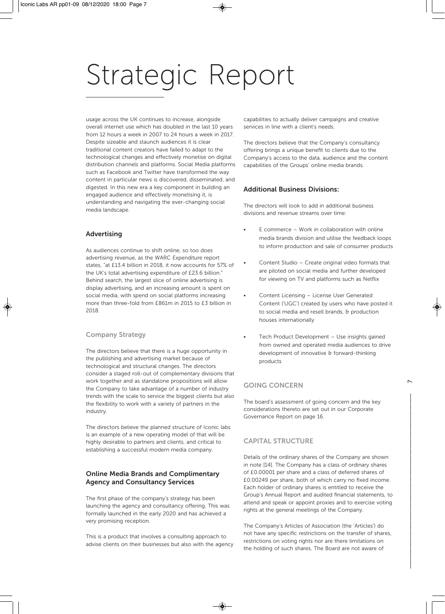usage across the UK continues to increase, alongside overall internet use which has doubled in the last 10 years from 12 hours a week in 2007 to 24 hours a week in 2017. Despite sizeable and staunch audiences it is clear traditional content creators have failed to adapt to the technological changes and effectively monetise on digital distribution channels and platforms. Social Media platforms such as Facebook and Twitter have transformed the way content in particular news is discovered, disseminated, and digested. In this new era a key component in building an engaged audience and effectively monetising it, is understanding and navigating the ever-changing social media landscape.

#### **Advertising**

As audiences continue to shift online, so too does advertising revenue, as the WARC Expenditure report states, "at £13.4 billion in 2018, it now accounts for 57% of the UK's total advertising expenditure of £23.6 billion." Behind search, the largest slice of online advertising is display advertising, and an increasing amount is spent on social media, with spend on social platforms increasing more than three-fold from £861m in 2015 to £3 billion in 2018.

#### **Company Strategy**

The directors believe that there is a huge opportunity in the publishing and advertising market because of technological and structural changes. The directors consider a staged roll-out of complementary divisions that work together and as standalone propositions will allow the Company to take advantage of a number of industry trends with the scale to service the biggest clients but also the flexibility to work with a variety of partners in the industry.

The directors believe the planned structure of Iconic labs is an example of a new operating model of that will be highly desirable to partners and clients, and critical to establishing a successful modern media company.

#### **Online Media Brands and Complimentary Agency and Consultancy Services**

The first phase of the company's strategy has been launching the agency and consultancy offering. This was formally launched in the early 2020 and has achieved a very promising reception.

This is a product that involves a consulting approach to advise clients on their businesses but also with the agency capabilities to actually deliver campaigns and creative services in line with a client's needs.

The directors believe that the Company's consultancy offering brings a unique benefit to clients due to the Company's access to the data, audience and the content capabilities of the Groups' online media brands.

#### **Additional Business Divisions:**

The directors will look to add in additional business divisions and revenue streams over time:

- E commerce Work in collaboration with online media brands division and utilise the feedback loops to inform production and sale of consumer products
- Content Studio Create original video formats that are piloted on social media and further developed for viewing on TV and platforms such as Netflix
- Content Licensing License User Generated Content ('UGC') created by users who have posted it to social media and resell brands, & production houses internationally
- Tech Product Development Use insights gained from owned and operated media audiences to drive development of innovative & forward-thinking products

#### **GOING CONCERN**

The board's assessment of going concern and the key considerations thereto are set out in our Corporate Governance Report on page 16.

#### **CAPITAL STRUCTURE**

Details of the ordinary shares of the Company are shown in note [14]. The Company has a class of ordinary shares of £0.00001 per share and a class of deferred shares of £0.00249 per share, both of which carry no fixed income. Each holder of ordinary shares is entitled to receive the Group's Annual Report and audited financial statements, to attend and speak or appoint proxies and to exercise voting rights at the general meetings of the Company.

The Company's Articles of Association (the 'Articles') do not have any specific restrictions on the transfer of shares, restrictions on voting rights nor are there limitations on the holding of such shares. The Board are not aware of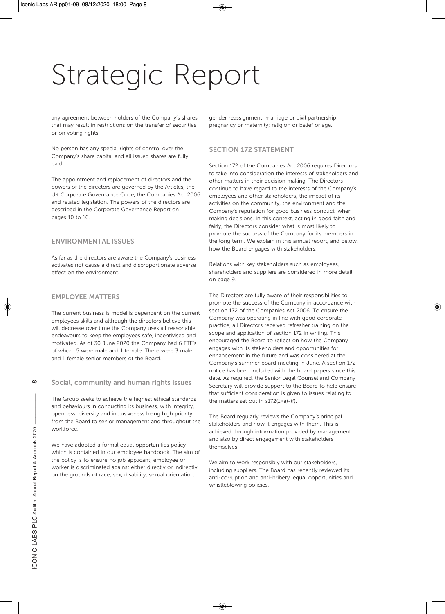any agreement between holders of the Company's shares that may result in restrictions on the transfer of securities or on voting rights.

No person has any special rights of control over the Company's share capital and all issued shares are fully paid.

The appointment and replacement of directors and the powers of the directors are governed by the Articles, the UK Corporate Governance Code, the Companies Act 2006 and related legislation. The powers of the directors are described in the Corporate Governance Report on pages 10 to 16.

#### **ENVIRONMENTAL ISSUES**

As far as the directors are aware the Company's business activates not cause a direct and disproportionate adverse effect on the environment.

#### **EMPLOYEE MATTERS**

The current business is model is dependent on the current employees skills and although the directors believe this will decrease over time the Company uses all reasonable endeavours to keep the employees safe, incentivised and motivated. As of 30 June 2020 the Company had 6 FTE's of whom 5 were male and 1 female. There were 3 male and 1 female senior members of the Board.

#### **Social, community and human rights issues**

The Group seeks to achieve the highest ethical standards and behaviours in conducting its business, with integrity, openness, diversity and inclusiveness being high priority from the Board to senior management and throughout the workforce.

We have adopted a formal equal opportunities policy which is contained in our employee handbook. The aim of the policy is to ensure no job applicant, employee or worker is discriminated against either directly or indirectly on the grounds of race, sex, disability, sexual orientation,

gender reassignment; marriage or civil partnership; pregnancy or maternity; religion or belief or age.

#### **SECTION 172 STATEMENT**

Section 172 of the Companies Act 2006 requires Directors to take into consideration the interests of stakeholders and other matters in their decision making. The Directors continue to have regard to the interests of the Company's employees and other stakeholders, the impact of its activities on the community, the environment and the Company's reputation for good business conduct, when making decisions. In this context, acting in good faith and fairly, the Directors consider what is most likely to promote the success of the Company for its members in the long term. We explain in this annual report, and below, how the Board engages with stakeholders.

Relations with key stakeholders such as employees, shareholders and suppliers are considered in more detail on page 9.

The Directors are fully aware of their responsibilities to promote the success of the Company in accordance with section 172 of the Companies Act 2006. To ensure the Company was operating in line with good corporate practice, all Directors received refresher training on the scope and application of section 172 in writing. This encouraged the Board to reflect on how the Company engages with its stakeholders and opportunities for enhancement in the future and was considered at the Company's summer board meeting in June. A section 172 notice has been included with the board papers since this date. As required, the Senior Legal Counsel and Company Secretary will provide support to the Board to help ensure that sufficient consideration is given to issues relating to the matters set out in s172(1)(a)-(f).

The Board regularly reviews the Company's principal stakeholders and how it engages with them. This is achieved through information provided by management and also by direct engagement with stakeholders themselves.

We aim to work responsibly with our stakeholders, including suppliers. The Board has recently reviewed its anti-corruption and anti-bribery, equal opportunities and whistleblowing policies.

 $\infty$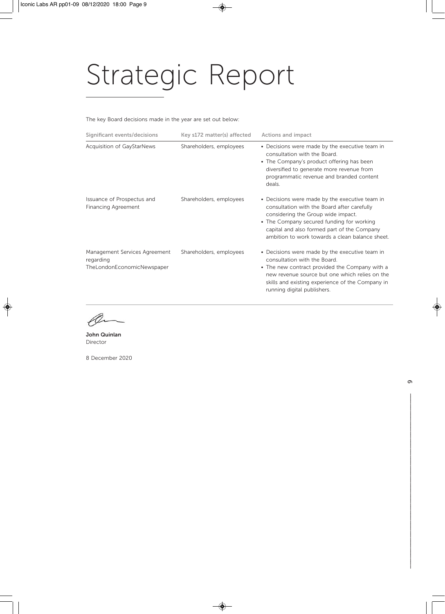The key Board decisions made in the year are set out below:

| Significant events/decisions                                             | Key s172 matter(s) affected | <b>Actions and impact</b>                                                                                                                                                                                                                                                          |
|--------------------------------------------------------------------------|-----------------------------|------------------------------------------------------------------------------------------------------------------------------------------------------------------------------------------------------------------------------------------------------------------------------------|
| Acquisition of GayStarNews                                               | Shareholders, employees     | • Decisions were made by the executive team in<br>consultation with the Board.<br>• The Company's product offering has been<br>diversified to generate more revenue from<br>programmatic revenue and branded content<br>deals.                                                     |
| Issuance of Prospectus and<br>Financing Agreement                        | Shareholders, employees     | • Decisions were made by the executive team in<br>consultation with the Board after carefully<br>considering the Group wide impact.<br>• The Company secured funding for working<br>capital and also formed part of the Company<br>ambition to work towards a clean balance sheet. |
| Management Services Agreement<br>regarding<br>TheLondonEconomicNewspaper | Shareholders, employees     | • Decisions were made by the executive team in<br>consultation with the Board.<br>• The new contract provided the Company with a<br>new revenue source but one which relies on the<br>skills and existing experience of the Company in<br>running digital publishers.              |

O

**John Quinlan**  Director

8 December 2020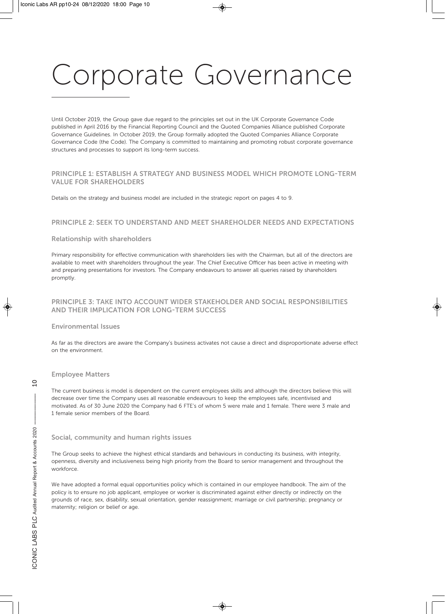Until October 2019, the Group gave due regard to the principles set out in the UK Corporate Governance Code published in April 2016 by the Financial Reporting Council and the Quoted Companies Alliance published Corporate Governance Guidelines. In October 2019, the Group formally adopted the Quoted Companies Alliance Corporate Governance Code (the Code). The Company is committed to maintaining and promoting robust corporate governance structures and processes to support its long-term success.

#### **PRINCIPLE 1: ESTABLISH A STRATEGY AND BUSINESS MODEL WHICH PROMOTE LONG-TERM VALUE FOR SHAREHOLDERS**

Details on the strategy and business model are included in the strategic report on pages 4 to 9.

#### **PRINCIPLE 2: SEEK TO UNDERSTAND AND MEET SHAREHOLDER NEEDS AND EXPECTATIONS**

#### **Relationship with shareholders**

Primary responsibility for effective communication with shareholders lies with the Chairman, but all of the directors are available to meet with shareholders throughout the year. The Chief Executive Officer has been active in meeting with and preparing presentations for investors. The Company endeavours to answer all queries raised by shareholders promptly.

#### **PRINCIPLE 3: TAKE INTO ACCOUNT WIDER STAKEHOLDER AND SOCIAL RESPONSIBILITIES AND THEIR IMPLICATION FOR LONG-TERM SUCCESS**

#### **Environmental Issues**

As far as the directors are aware the Company's business activates not cause a direct and disproportionate adverse effect on the environment.

#### **Employee Matters**

The current business is model is dependent on the current employees skills and although the directors believe this will decrease over time the Company uses all reasonable endeavours to keep the employees safe, incentivised and motivated. As of 30 June 2020 the Company had 6 FTE's of whom 5 were male and 1 female. There were 3 male and 1 female senior members of the Board.

#### **Social, community and human rights issues**

The Group seeks to achieve the highest ethical standards and behaviours in conducting its business, with integrity, openness, diversity and inclusiveness being high priority from the Board to senior management and throughout the workforce.

We have adopted a formal equal opportunities policy which is contained in our employee handbook. The aim of the policy is to ensure no job applicant, employee or worker is discriminated against either directly or indirectly on the grounds of race, sex, disability, sexual orientation, gender reassignment; marriage or civil partnership; pregnancy or maternity; religion or belief or age.

 $\subseteq$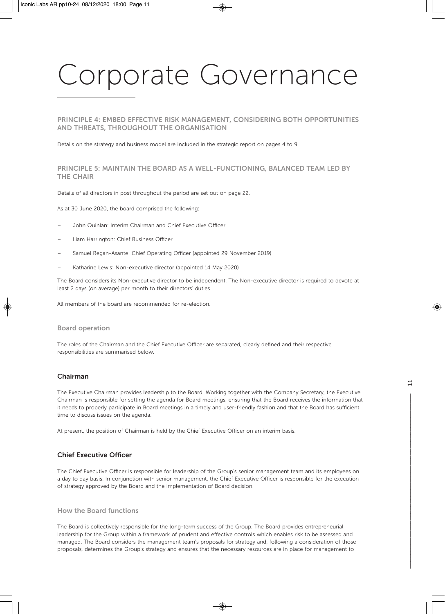#### **PRINCIPLE 4: EMBED EFFECTIVE RISK MANAGEMENT, CONSIDERING BOTH OPPORTUNITIES AND THREATS, THROUGHOUT THE ORGANISATION**

Details on the strategy and business model are included in the strategic report on pages 4 to 9.

#### **PRINCIPLE 5: MAINTAIN THE BOARD AS A WELL-FUNCTIONING, BALANCED TEAM LED BY THE CHAIR**

Details of all directors in post throughout the period are set out on page 22.

As at 30 June 2020, the board comprised the following:

- John Quinlan: Interim Chairman and Chief Executive Officer
- Liam Harrington: Chief Business Officer
- Samuel Regan-Asante: Chief Operating Officer (appointed 29 November 2019)
- Katharine Lewis: Non-executive director (appointed 14 May 2020)

The Board considers its Non-executive director to be independent. The Non-executive director is required to devote at least 2 days (on average) per month to their directors' duties.

All members of the board are recommended for re-election.

#### **Board operation**

The roles of the Chairman and the Chief Executive Officer are separated, clearly defined and their respective responsibilities are summarised below.

#### **Chairman**

The Executive Chairman provides leadership to the Board. Working together with the Company Secretary, the Executive Chairman is responsible for setting the agenda for Board meetings, ensuring that the Board receives the information that it needs to properly participate in Board meetings in a timely and user-friendly fashion and that the Board has sufficient time to discuss issues on the agenda.

At present, the position of Chairman is held by the Chief Executive Officer on an interim basis.

#### **Chief Executive Officer**

The Chief Executive Officer is responsible for leadership of the Group's senior management team and its employees on a day to day basis. In conjunction with senior management, the Chief Executive Officer is responsible for the execution of strategy approved by the Board and the implementation of Board decision.

#### **How the Board functions**

The Board is collectively responsible for the long-term success of the Group. The Board provides entrepreneurial leadership for the Group within a framework of prudent and effective controls which enables risk to be assessed and managed. The Board considers the management team's proposals for strategy and, following a consideration of those proposals, determines the Group's strategy and ensures that the necessary resources are in place for management to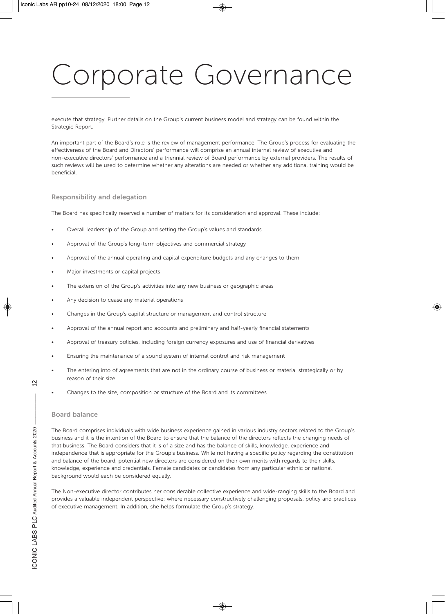execute that strategy. Further details on the Group's current business model and strategy can be found within the Strategic Report.

An important part of the Board's role is the review of management performance. The Group's process for evaluating the effectiveness of the Board and Directors' performance will comprise an annual internal review of executive and non-executive directors' performance and a triennial review of Board performance by external providers. The results of such reviews will be used to determine whether any alterations are needed or whether any additional training would be beneficial.

#### **Responsibility and delegation**

The Board has specifically reserved a number of matters for its consideration and approval. These include:

- Overall leadership of the Group and setting the Group's values and standards
- Approval of the Group's long-term objectives and commercial strategy
- Approval of the annual operating and capital expenditure budgets and any changes to them
- Major investments or capital projects
- The extension of the Group's activities into any new business or geographic areas
- Any decision to cease any material operations
- Changes in the Group's capital structure or management and control structure
- Approval of the annual report and accounts and preliminary and half-yearly financial statements
- Approval of treasury policies, including foreign currency exposures and use of financial derivatives
- Ensuring the maintenance of a sound system of internal control and risk management
- The entering into of agreements that are not in the ordinary course of business or material strategically or by reason of their size
- Changes to the size, composition or structure of the Board and its committees

#### **Board balance**

The Board comprises individuals with wide business experience gained in various industry sectors related to the Group's business and it is the intention of the Board to ensure that the balance of the directors reflects the changing needs of that business. The Board considers that it is of a size and has the balance of skills, knowledge, experience and independence that is appropriate for the Group's business. While not having a specific policy regarding the constitution and balance of the board, potential new directors are considered on their own merits with regards to their skills, knowledge, experience and credentials. Female candidates or candidates from any particular ethnic or national background would each be considered equally.

The Non-executive director contributes her considerable collective experience and wide-ranging skills to the Board and provides a valuable independent perspective; where necessary constructively challenging proposals, policy and practices of executive management. In addition, she helps formulate the Group's strategy.

 $\overline{2}$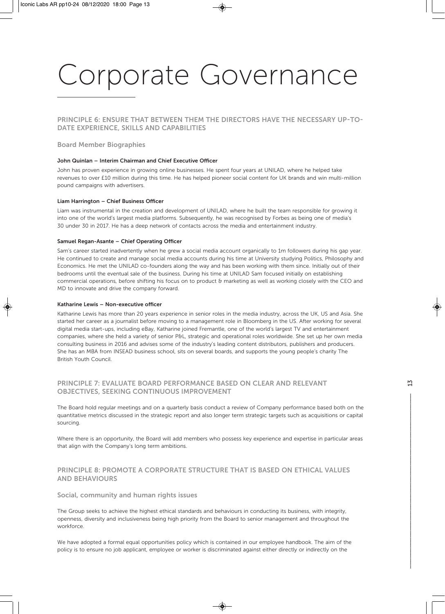**PRINCIPLE 6: ENSURE THAT BETWEEN THEM THE DIRECTORS HAVE THE NECESSARY UP-TO-DATE EXPERIENCE, SKILLS AND CAPABILITIES** 

#### **Board Member Biographies**

#### **John Quinlan – Interim Chairman and Chief Executive Officer**

John has proven experience in growing online businesses. He spent four years at UNILAD, where he helped take revenues to over £10 million during this time. He has helped pioneer social content for UK brands and win multi-million pound campaigns with advertisers.

#### **Liam Harrington – Chief Business Officer**

Liam was instrumental in the creation and development of UNILAD, where he built the team responsible for growing it into one of the world's largest media platforms. Subsequently, he was recognised by Forbes as being one of media's 30 under 30 in 2017. He has a deep network of contacts across the media and entertainment industry.

#### **Samuel Regan-Asante – Chief Operating Officer**

Sam's career started inadvertently when he grew a social media account organically to 1m followers during his gap year. He continued to create and manage social media accounts during his time at University studying Politics, Philosophy and Economics. He met the UNILAD co-founders along the way and has been working with them since. Initially out of their bedrooms until the eventual sale of the business. During his time at UNILAD Sam focused initially on establishing commercial operations, before shifting his focus on to product & marketing as well as working closely with the CEO and MD to innovate and drive the company forward.

#### **Katharine Lewis – Non-executive officer**

Katharine Lewis has more than 20 years experience in senior roles in the media industry, across the UK, US and Asia. She started her career as a journalist before moving to a management role in Bloomberg in the US. After working for several digital media start-ups, including eBay, Katharine joined Fremantle, one of the world's largest TV and entertainment companies, where she held a variety of senior P&L, strategic and operational roles worldwide. She set up her own media consulting business in 2016 and advises some of the industry's leading content distributors, publishers and producers. She has an MBA from INSEAD business school, sits on several boards, and supports the young people's charity The British Youth Council.

#### **PRINCIPLE 7: EVALUATE BOARD PERFORMANCE BASED ON CLEAR AND RELEVANT OBJECTIVES, SEEKING CONTINUOUS IMPROVEMENT**

The Board hold regular meetings and on a quarterly basis conduct a review of Company performance based both on the quantitative metrics discussed in the strategic report and also longer term strategic targets such as acquisitions or capital sourcing.

Where there is an opportunity, the Board will add members who possess key experience and expertise in particular areas that align with the Company's long term ambitions.

#### **PRINCIPLE 8: PROMOTE A CORPORATE STRUCTURE THAT IS BASED ON ETHICAL VALUES AND BEHAVIOURS**

#### **Social, community and human rights issues**

The Group seeks to achieve the highest ethical standards and behaviours in conducting its business, with integrity, openness, diversity and inclusiveness being high priority from the Board to senior management and throughout the workforce.

We have adopted a formal equal opportunities policy which is contained in our employee handbook. The aim of the policy is to ensure no job applicant, employee or worker is discriminated against either directly or indirectly on the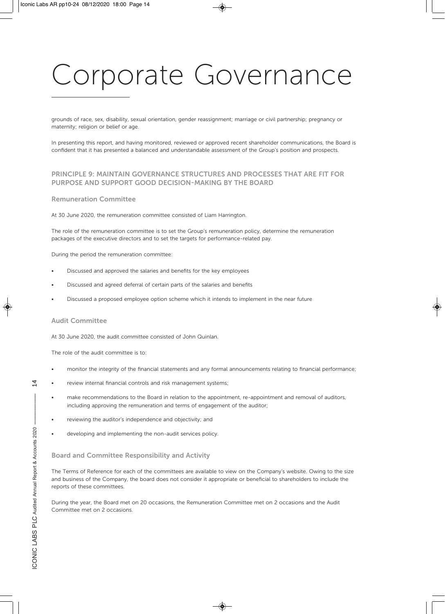grounds of race, sex, disability, sexual orientation, gender reassignment; marriage or civil partnership; pregnancy or maternity; religion or belief or age.

In presenting this report, and having monitored, reviewed or approved recent shareholder communications, the Board is confident that it has presented a balanced and understandable assessment of the Group's position and prospects.

#### **PRINCIPLE 9: MAINTAIN GOVERNANCE STRUCTURES AND PROCESSES THAT ARE FIT FOR PURPOSE AND SUPPORT GOOD DECISION-MAKING BY THE BOARD**

#### **Remuneration Committee**

At 30 June 2020, the remuneration committee consisted of Liam Harrington.

The role of the remuneration committee is to set the Group's remuneration policy, determine the remuneration packages of the executive directors and to set the targets for performance-related pay.

During the period the remuneration committee:

- Discussed and approved the salaries and benefits for the key employees
- Discussed and agreed deferral of certain parts of the salaries and benefits
- Discussed a proposed employee option scheme which it intends to implement in the near future

#### **Audit Committee**

At 30 June 2020, the audit committee consisted of John Quinlan.

The role of the audit committee is to:

- monitor the integrity of the financial statements and any formal announcements relating to financial performance;
- review internal financial controls and risk management systems;
- make recommendations to the Board in relation to the appointment, re-appointment and removal of auditors, including approving the remuneration and terms of engagement of the auditor;
- reviewing the auditor's independence and objectivity; and
- developing and implementing the non-audit services policy.

#### **Board and Committee Responsibility and Activity**

The Terms of Reference for each of the committees are available to view on the Company's website. Owing to the size and business of the Company, the board does not consider it appropriate or beneficial to shareholders to include the reports of these committees.

During the year, the Board met on 20 occasions, the Remuneration Committee met on 2 occasions and the Audit Committee met on 2 occasions.

4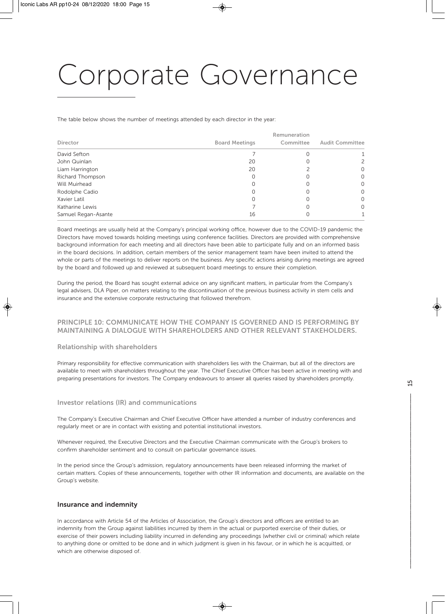The table below shows the number of meetings attended by each director in the year:

| Director            | <b>Board Meetings</b> | Remuneration<br>Committee | <b>Audit Committee</b> |
|---------------------|-----------------------|---------------------------|------------------------|
| David Sefton        |                       |                           |                        |
| John Quinlan        | 20                    |                           | 2                      |
| Liam Harrington     | 20                    |                           | 0                      |
| Richard Thompson    |                       |                           | 0                      |
| Will Muirhead       |                       |                           | $\Omega$               |
| Rodolphe Cadio      |                       |                           | $\Omega$               |
| Xavier Latil        |                       |                           | 0                      |
| Katharine Lewis     |                       |                           | $\Omega$               |
| Samuel Regan-Asante | 16                    |                           |                        |

Board meetings are usually held at the Company's principal working office, however due to the COVID-19 pandemic the Directors have moved towards holding meetings using conference facilities. Directors are provided with comprehensive background information for each meeting and all directors have been able to participate fully and on an informed basis in the board decisions. In addition, certain members of the senior management team have been invited to attend the whole or parts of the meetings to deliver reports on the business. Any specific actions arising during meetings are agreed by the board and followed up and reviewed at subsequent board meetings to ensure their completion.

During the period, the Board has sought external advice on any significant matters, in particular from the Company's legal advisers, DLA Piper, on matters relating to the discontinuation of the previous business activity in stem cells and insurance and the extensive corporate restructuring that followed therefrom.

#### **PRINCIPLE 10: COMMUNICATE HOW THE COMPANY IS GOVERNED AND IS PERFORMING BY MAINTAINING A DIALOGUE WITH SHAREHOLDERS AND OTHER RELEVANT STAKEHOLDERS.**

#### **Relationship with shareholders**

Primary responsibility for effective communication with shareholders lies with the Chairman, but all of the directors are available to meet with shareholders throughout the year. The Chief Executive Officer has been active in meeting with and preparing presentations for investors. The Company endeavours to answer all queries raised by shareholders promptly.

#### **Investor relations (IR) and communications**

The Company's Executive Chairman and Chief Executive Officer have attended a number of industry conferences and regularly meet or are in contact with existing and potential institutional investors.

Whenever required, the Executive Directors and the Executive Chairman communicate with the Group's brokers to confirm shareholder sentiment and to consult on particular governance issues.

In the period since the Group's admission, regulatory announcements have been released informing the market of certain matters. Copies of these announcements, together with other IR information and documents, are available on the Group's website.

#### **Insurance and indemnity**

In accordance with Article 54 of the Articles of Association, the Group's directors and officers are entitled to an indemnity from the Group against liabilities incurred by them in the actual or purported exercise of their duties, or exercise of their powers including liability incurred in defending any proceedings (whether civil or criminal) which relate to anything done or omitted to be done and in which judgment is given in his favour, or in which he is acquitted, or which are otherwise disposed of.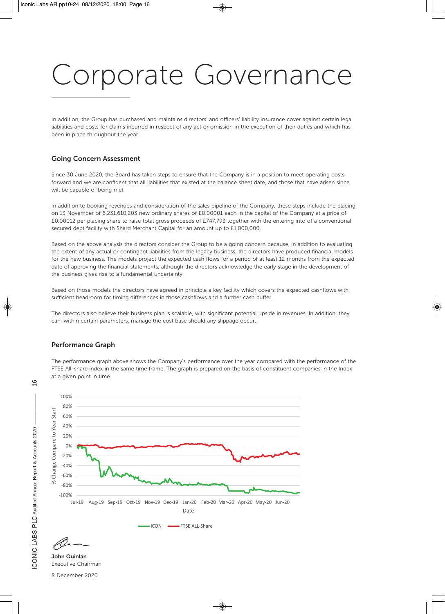In addition, the Group has purchased and maintains directors' and officers' liability insurance cover against certain legal liabilities and costs for claims incurred in respect of any act or omission in the execution of their duties and which has been in place throughout the year.

#### **Going Concern Assessment**

Since 30 June 2020, the Board has taken steps to ensure that the Company is in a position to meet operating costs forward and we are confident that all liabilities that existed at the balance sheet date, and those that have arisen since will be capable of being met.

In addition to booking revenues and consideration of the sales pipeline of the Company, these steps include the placing on 13 November of 6,231,610,203 new ordinary shares of £0.00001 each in the capital of the Company at a price of £0.00012 per placing share to raise total gross proceeds of £747,793 together with the entering into of a conventional secured debt facility with Shard Merchant Capital for an amount up to £1,000,000.

Based on the above analysis the directors consider the Group to be a going concern because, in addition to evaluating the extent of any actual or contingent liabilities from the legacy business, the directors have produced financial models for the new business. The models project the expected cash flows for a period of at least 12 months from the expected date of approving the financial statements, although the directors acknowledge the early stage in the development of the business gives rise to a fundamental uncertainty.

Based on those models the directors have agreed in principle a key facility which covers the expected cashflows with sufficient headroom for timing differences in those cashflows and a further cash buffer.

The directors also believe their business plan is scalable, with significant potential upside in revenues. In addition, they can, within certain parameters, manage the cost base should any slippage occur.

#### **Performance Graph**

The performance graph above shows the Company's performance over the year compared with the performance of the FTSE All-share index in the same time frame. The graph is prepared on the basis of constituent companies in the Index at a given point in time.



 $\overline{6}$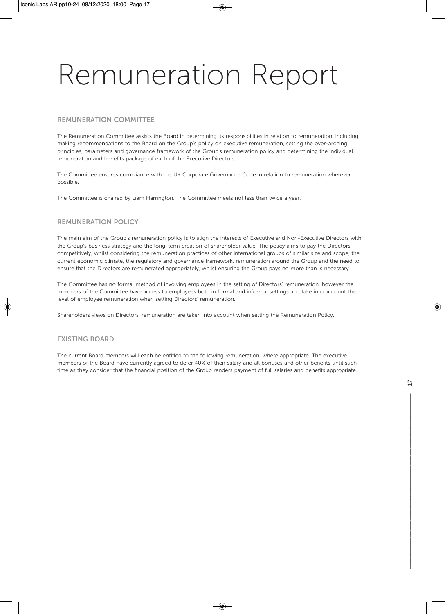#### **REMUNERATION COMMITTEE**

The Remuneration Committee assists the Board in determining its responsibilities in relation to remuneration, including making recommendations to the Board on the Group's policy on executive remuneration, setting the over-arching principles, parameters and governance framework of the Group's remuneration policy and determining the individual remuneration and benefits package of each of the Executive Directors.

The Committee ensures compliance with the UK Corporate Governance Code in relation to remuneration wherever possible.

The Committee is chaired by Liam Harrington. The Committee meets not less than twice a year.

#### **REMUNERATION POLICY**

The main aim of the Group's remuneration policy is to align the interests of Executive and Non-Executive Directors with the Group's business strategy and the long-term creation of shareholder value. The policy aims to pay the Directors competitively, whilst considering the remuneration practices of other international groups of similar size and scope, the current economic climate, the regulatory and governance framework, remuneration around the Group and the need to ensure that the Directors are remunerated appropriately, whilst ensuring the Group pays no more than is necessary.

The Committee has no formal method of involving employees in the setting of Directors' remuneration, however the members of the Committee have access to employees both in formal and informal settings and take into account the level of employee remuneration when setting Directors' remuneration.

Shareholders views on Directors' remuneration are taken into account when setting the Remuneration Policy.

#### **EXISTING BOARD**

The current Board members will each be entitled to the following remuneration, where appropriate. The executive members of the Board have currently agreed to defer 40% of their salary and all bonuses and other benefits until such time as they consider that the financial position of the Group renders payment of full salaries and benefits appropriate.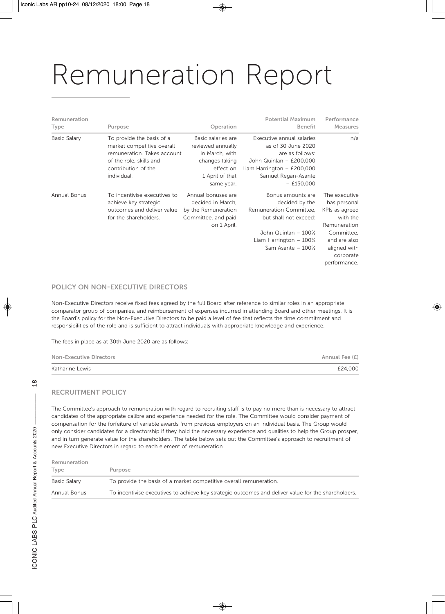| Remuneration<br>Type | Purpose                                                                                                                                                 | Operation                                                                                                                 | <b>Potential Maximum</b><br><b>Benefit</b>                                                                                                                           | Performance<br><b>Measures</b>                                                                                                                         |
|----------------------|---------------------------------------------------------------------------------------------------------------------------------------------------------|---------------------------------------------------------------------------------------------------------------------------|----------------------------------------------------------------------------------------------------------------------------------------------------------------------|--------------------------------------------------------------------------------------------------------------------------------------------------------|
| <b>Basic Salary</b>  | To provide the basis of a<br>market competitive overall<br>remuneration. Takes account<br>of the role, skills and<br>contribution of the<br>individual. | Basic salaries are<br>reviewed annually<br>in March, with<br>changes taking<br>effect on<br>1 April of that<br>same year. | Executive annual salaries<br>as of 30 June 2020<br>are as follows:<br>John Quinlan - £200,000<br>Liam Harrington $-$ £200,000<br>Samuel Regan-Asante<br>$-$ £150,000 | n/a                                                                                                                                                    |
| Annual Bonus         | To incentivise executives to<br>achieve key strategic<br>outcomes and deliver value<br>for the shareholders.                                            | Annual bonuses are<br>decided in March,<br>by the Remuneration<br>Committee, and paid<br>on 1 April.                      | Bonus amounts are<br>decided by the<br>Remuneration Committee,<br>but shall not exceed:<br>John Quinlan - 100%<br>Liam Harrington $-100\%$<br>Sam Asante - 100%      | The executive<br>has personal<br>KPIs as agreed<br>with the<br>Remuneration<br>Committee,<br>and are also<br>aligned with<br>corporate<br>performance. |

#### **POLICY ON NON-EXECUTIVE DIRECTORS**

Non-Executive Directors receive fixed fees agreed by the full Board after reference to similar roles in an appropriate comparator group of companies, and reimbursement of expenses incurred in attending Board and other meetings. It is the Board's policy for the Non-Executive Directors to be paid a level of fee that reflects the time commitment and responsibilities of the role and is sufficient to attract individuals with appropriate knowledge and experience.

The fees in place as at 30th June 2020 are as follows:

| <b>Non-Executive Directors</b> | Annual Fee (£) |
|--------------------------------|----------------|
| Katharine Lewis                | £24,000        |

#### **RECRUITMENT POLICY**

 $\frac{8}{10}$ 

The Committee's approach to remuneration with regard to recruiting staff is to pay no more than is necessary to attract candidates of the appropriate calibre and experience needed for the role. The Committee would consider payment of compensation for the forfeiture of variable awards from previous employers on an individual basis. The Group would only consider candidates for a directorship if they hold the necessary experience and qualities to help the Group prosper, and in turn generate value for the shareholders. The table below sets out the Committee's approach to recruitment of new Executive Directors in regard to each element of remuneration.

| Remuneration |                                                                                                     |
|--------------|-----------------------------------------------------------------------------------------------------|
| Type         | Purpose                                                                                             |
| Basic Salary | To provide the basis of a market competitive overall remuneration.                                  |
| Annual Bonus | To incentivise executives to achieve key strategic outcomes and deliver value for the shareholders. |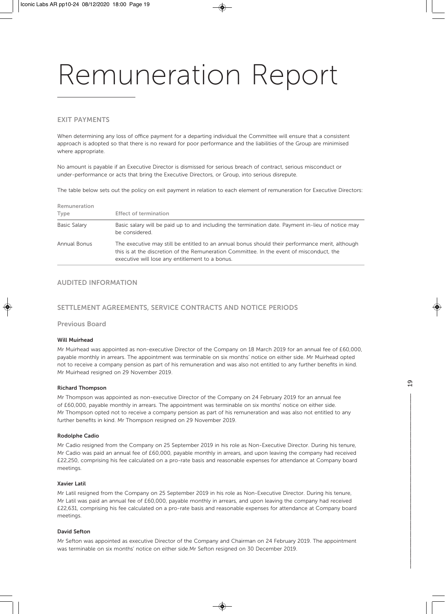#### **EXIT PAYMENTS**

When determining any loss of office payment for a departing individual the Committee will ensure that a consistent approach is adopted so that there is no reward for poor performance and the liabilities of the Group are minimised where appropriate.

No amount is payable if an Executive Director is dismissed for serious breach of contract, serious misconduct or under-performance or acts that bring the Executive Directors, or Group, into serious disrepute.

The table below sets out the policy on exit payment in relation to each element of remuneration for Executive Directors:

| Remuneration<br>Type | <b>Effect of termination</b>                                                                                                                                                                                                                   |
|----------------------|------------------------------------------------------------------------------------------------------------------------------------------------------------------------------------------------------------------------------------------------|
| Basic Salary         | Basic salary will be paid up to and including the termination date. Payment in-lieu of notice may<br>be considered.                                                                                                                            |
| Annual Bonus         | The executive may still be entitled to an annual bonus should their performance merit, although<br>this is at the discretion of the Remuneration Committee. In the event of misconduct, the<br>executive will lose any entitlement to a bonus. |

#### **AUDITED INFORMATION**

#### **SETTLEMENT AGREEMENTS, SERVICE CONTRACTS AND NOTICE PERIODS**

#### **Previous Board**

#### **Will Muirhead**

Mr Muirhead was appointed as non-executive Director of the Company on 18 March 2019 for an annual fee of £60,000, payable monthly in arrears. The appointment was terminable on six months' notice on either side. Mr Muirhead opted not to receive a company pension as part of his remuneration and was also not entitled to any further benefits in kind. Mr Muirhead resigned on 29 November 2019.

#### **Richard Thompson**

Mr Thompson was appointed as non-executive Director of the Company on 24 February 2019 for an annual fee of £60,000, payable monthly in arrears. The appointment was terminable on six months' notice on either side. Mr Thompson opted not to receive a company pension as part of his remuneration and was also not entitled to any further benefits in kind. Mr Thompson resigned on 29 November 2019.

#### **Rodolphe Cadio**

Mr Cadio resigned from the Company on 25 September 2019 in his role as Non-Executive Director. During his tenure, Mr Cadio was paid an annual fee of £60,000, payable monthly in arrears, and upon leaving the company had received £22,250, comprising his fee calculated on a pro-rate basis and reasonable expenses for attendance at Company board meetings.

#### **Xavier Latil**

Mr Latil resigned from the Company on 25 September 2019 in his role as Non-Executive Director. During his tenure, Mr Latil was paid an annual fee of £60,000, payable monthly in arrears, and upon leaving the company had received £22,631, comprising his fee calculated on a pro-rate basis and reasonable expenses for attendance at Company board meetings.

#### **David Sefton**

Mr Sefton was appointed as executive Director of the Company and Chairman on 24 February 2019. The appointment was terminable on six months' notice on either side.Mr Sefton resigned on 30 December 2019.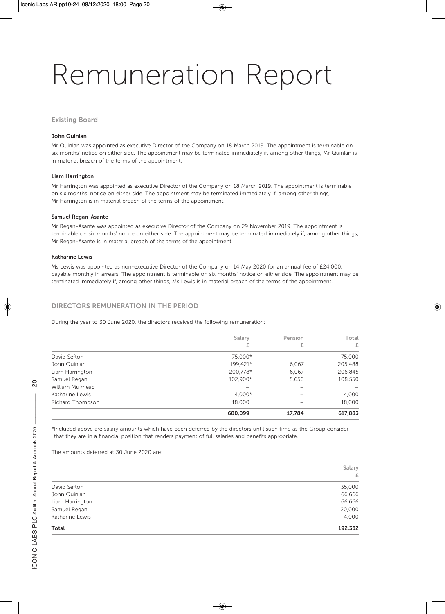#### **Existing Board**

#### **John Quinlan**

Mr Quinlan was appointed as executive Director of the Company on 18 March 2019. The appointment is terminable on six months' notice on either side. The appointment may be terminated immediately if, among other things, Mr Quinlan is in material breach of the terms of the appointment.

#### **Liam Harrington**

Mr Harrington was appointed as executive Director of the Company on 18 March 2019. The appointment is terminable on six months' notice on either side. The appointment may be terminated immediately if, among other things, Mr Harrington is in material breach of the terms of the appointment.

#### **Samuel Regan-Asante**

Mr Regan-Asante was appointed as executive Director of the Company on 29 November 2019. The appointment is terminable on six months' notice on either side. The appointment may be terminated immediately if, among other things, Mr Regan-Asante is in material breach of the terms of the appointment.

#### **Katharine Lewis**

Ms Lewis was appointed as non-executive Director of the Company on 14 May 2020 for an annual fee of £24,000, payable monthly in arrears. The appointment is terminable on six months' notice on either side. The appointment may be terminated immediately if, among other things, Ms Lewis is in material breach of the terms of the appointment.

#### **DIRECTORS REMUNERATION IN THE PERIOD**

During the year to 30 June 2020, the directors received the following remuneration:

|                  | Salary   | Pension | Total   |
|------------------|----------|---------|---------|
|                  | £        | £       | £       |
| David Sefton     | 75,000*  |         | 75,000  |
| John Quinlan     | 199,421* | 6,067   | 205,488 |
| Liam Harrington  | 200,778* | 6,067   | 206,845 |
| Samuel Regan     | 102,900* | 5,650   | 108,550 |
| William Muirhead |          |         |         |
| Katharine Lewis  | $4,000*$ | -       | 4,000   |
| Richard Thompson | 18,000   |         | 18,000  |
|                  | 600.099  | 17,784  | 617,883 |

\*Included above are salary amounts which have been deferred by the directors until such time as the Group consider that they are in a financial position that renders payment of full salaries and benefits appropriate.

The amounts deferred at 30 June 2020 are:

|                 | Salary  |
|-----------------|---------|
|                 | £       |
| David Sefton    | 35,000  |
| John Quinlan    | 66,666  |
| Liam Harrington | 66,666  |
| Samuel Regan    | 20,000  |
| Katharine Lewis | 4,000   |
| Total           | 192,332 |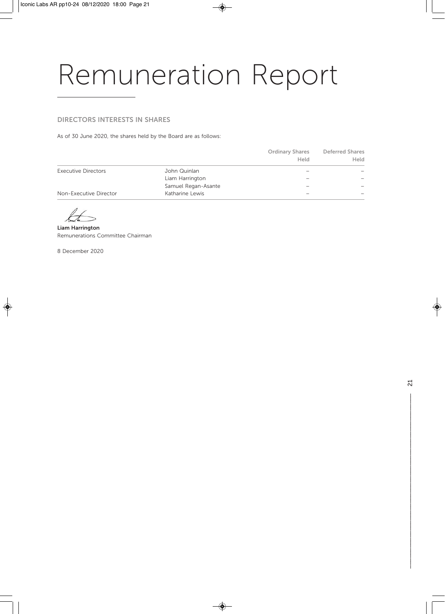#### **DIRECTORS INTERESTS IN SHARES**

As of 30 June 2020, the shares held by the Board are as follows:

|                            |                     | <b>Ordinary Shares</b><br>Held | <b>Deferred Shares</b><br>Held |
|----------------------------|---------------------|--------------------------------|--------------------------------|
| <b>Executive Directors</b> | John Quinlan        |                                |                                |
|                            | Liam Harrington     |                                |                                |
|                            | Samuel Regan-Asante |                                |                                |
| Non-Executive Director     | Katharine Lewis     |                                |                                |

**Liam Harrington**  Remunerations Committee Chairman

8 December 2020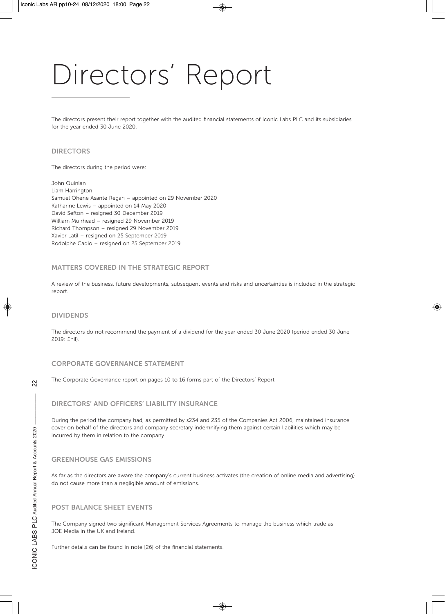## Directors' Report

The directors present their report together with the audited financial statements of Iconic Labs PLC and its subsidiaries for the year ended 30 June 2020.

#### **DIRECTORS**

The directors during the period were:

John Quinlan Liam Harrington Samuel Ohene Asante Regan – appointed on 29 November 2020 Katharine Lewis – appointed on 14 May 2020 David Sefton – resigned 30 December 2019 William Muirhead – resigned 29 November 2019 Richard Thompson – resigned 29 November 2019 Xavier Latil – resigned on 25 September 2019 Rodolphe Cadio – resigned on 25 September 2019

#### **MATTERS COVERED IN THE STRATEGIC REPORT**

A review of the business, future developments, subsequent events and risks and uncertainties is included in the strategic report.

#### **DIVIDENDS**

The directors do not recommend the payment of a dividend for the year ended 30 June 2020 (period ended 30 June 2019: £nil).

#### **CORPORATE GOVERNANCE STATEMENT**

The Corporate Governance report on pages 10 to 16 forms part of the Directors' Report.

#### **DIRECTORS' AND OFFICERS' LIABILITY INSURANCE**

During the period the company had, as permitted by s234 and 235 of the Companies Act 2006, maintained insurance cover on behalf of the directors and company secretary indemnifying them against certain liabilities which may be incurred by them in relation to the company.

#### **GREENHOUSE GAS EMISSIONS**

As far as the directors are aware the company's current business activates (the creation of online media and advertising) do not cause more than a negligible amount of emissions.

#### **POST BALANCE SHEET EVENTS**

The Company signed two significant Management Services Agreements to manage the business which trade as JOE Media in the UK and Ireland.

Further details can be found in note [26] of the financial statements.

 $\tilde{\mathcal{L}}$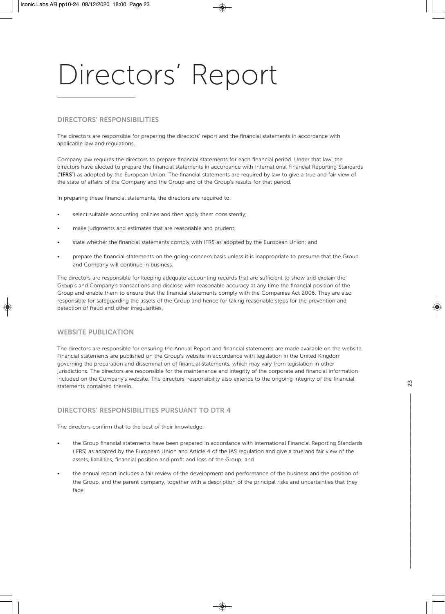## Directors' Report

#### **DIRECTORS' RESPONSIBILITIES**

The directors are responsible for preparing the directors' report and the financial statements in accordance with applicable law and regulations.

Company law requires the directors to prepare financial statements for each financial period. Under that law, the directors have elected to prepare the financial statements in accordance with International Financial Reporting Standards ("**IFRS**") as adopted by the European Union. The financial statements are required by law to give a true and fair view of the state of affairs of the Company and the Group and of the Group's results for that period.

In preparing these financial statements, the directors are required to:

- select suitable accounting policies and then apply them consistently;
- make judgments and estimates that are reasonable and prudent;
- state whether the financial statements comply with IFRS as adopted by the European Union; and
- prepare the financial statements on the going-concern basis unless it is inappropriate to presume that the Group and Company will continue in business.

The directors are responsible for keeping adequate accounting records that are sufficient to show and explain the Group's and Company's transactions and disclose with reasonable accuracy at any time the financial position of the Group and enable them to ensure that the financial statements comply with the Companies Act 2006. They are also responsible for safeguarding the assets of the Group and hence for taking reasonable steps for the prevention and detection of fraud and other irregularities.

#### **WEBSITE PUBLICATION**

The directors are responsible for ensuring the Annual Report and financial statements are made available on the website. Financial statements are published on the Group's website in accordance with legislation in the United Kingdom governing the preparation and dissemination of financial statements, which may vary from legislation in other jurisdictions. The directors are responsible for the maintenance and integrity of the corporate and financial information included on the Company's website. The directors' responsibility also extends to the ongoing integrity of the financial statements contained therein.

#### **DIRECTORS' RESPONSIBILITIES PURSUANT TO DTR 4**

The directors confirm that to the best of their knowledge:

- the Group financial statements have been prepared in accordance with international Financial Reporting Standards (IFRS) as adopted by the European Union and Article 4 of the IAS regulation and give a true and fair view of the assets, liabilities, financial position and profit and loss of the Group; and
- the annual report includes a fair review of the development and performance of the business and the position of the Group, and the parent company, together with a description of the principal risks and uncertainties that they face.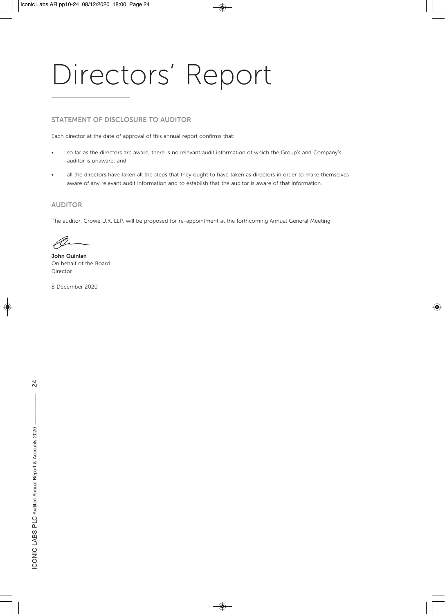## Directors' Report

#### **STATEMENT OF DISCLOSURE TO AUDITOR**

Each director at the date of approval of this annual report confirms that:

- so far as the directors are aware, there is no relevant audit information of which the Group's and Company's auditor is unaware; and
- all the directors have taken all the steps that they ought to have taken as directors in order to make themselves aware of any relevant audit information and to establish that the auditor is aware of that information.

#### **AUDITOR**

The auditor, Crowe U.K. LLP, will be proposed for re-appointment at the forthcoming Annual General Meeting.

 $\mathscr{A}$ 

**John Quinlan**  On behalf of the Board Director

8 December 2020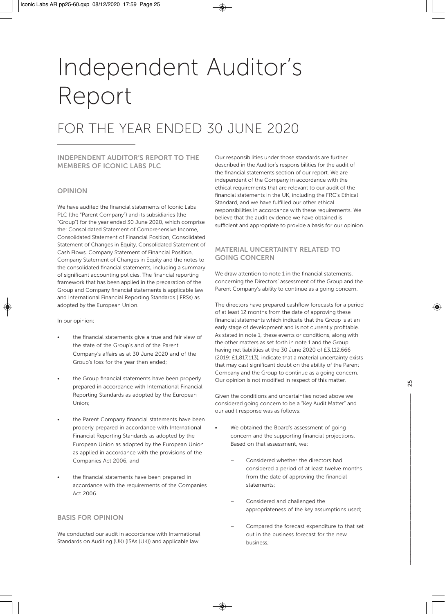### FOR THE YEAR ENDED 30 JUNE 2020

#### **INDEPENDENT AUDITOR'S REPORT TO THE MEMBERS OF ICONIC LABS PLC**

#### **OPINION**

We have audited the financial statements of Iconic Labs PLC (the "Parent Company") and its subsidiaries (the "Group") for the year ended 30 June 2020, which comprise the: Consolidated Statement of Comprehensive Income, Consolidated Statement of Financial Position, Consolidated Statement of Changes in Equity, Consolidated Statement of Cash Flows, Company Statement of Financial Position, Company Statement of Changes in Equity and the notes to the consolidated financial statements, including a summary of significant accounting policies. The financial reporting framework that has been applied in the preparation of the Group and Company financial statements is applicable law and International Financial Reporting Standards (IFRSs) as adopted by the European Union.

In our opinion:

- the financial statements give a true and fair view of the state of the Group's and of the Parent Company's affairs as at 30 June 2020 and of the Group's loss for the year then ended;
- the Group financial statements have been properly prepared in accordance with International Financial Reporting Standards as adopted by the European Union;
- the Parent Company financial statements have been properly prepared in accordance with International Financial Reporting Standards as adopted by the European Union as adopted by the European Union as applied in accordance with the provisions of the Companies Act 2006; and
- the financial statements have been prepared in accordance with the requirements of the Companies Act 2006.

#### **BASIS FOR OPINION**

We conducted our audit in accordance with International Standards on Auditing (UK) (ISAs (UK)) and applicable law.

Our responsibilities under those standards are further described in the Auditor's responsibilities for the audit of the financial statements section of our report. We are independent of the Company in accordance with the ethical requirements that are relevant to our audit of the financial statements in the UK, including the FRC's Ethical Standard, and we have fulfilled our other ethical responsibilities in accordance with these requirements. We believe that the audit evidence we have obtained is sufficient and appropriate to provide a basis for our opinion.

#### **MATERIAL UNCERTAINTY RELATED TO GOING CONCERN**

We draw attention to note 1 in the financial statements, concerning the Directors' assessment of the Group and the Parent Company's ability to continue as a going concern.

The directors have prepared cashflow forecasts for a period of at least 12 months from the date of approving these financial statements which indicate that the Group is at an early stage of development and is not currently profitable. As stated in note 1, these events or conditions, along with the other matters as set forth in note 1 and the Group having net liabilities at the 30 June 2020 of £3,112,666 (2019: £1,817,113), indicate that a material uncertainty exists that may cast significant doubt on the ability of the Parent Company and the Group to continue as a going concern. Our opinion is not modified in respect of this matter.

Given the conditions and uncertainties noted above we considered going concern to be a "Key Audit Matter" and our audit response was as follows:

- We obtained the Board's assessment of going concern and the supporting financial projections. Based on that assessment, we:
	- Considered whether the directors had considered a period of at least twelve months from the date of approving the financial statements;
	- Considered and challenged the appropriateness of the key assumptions used;
	- Compared the forecast expenditure to that set out in the business forecast for the new business;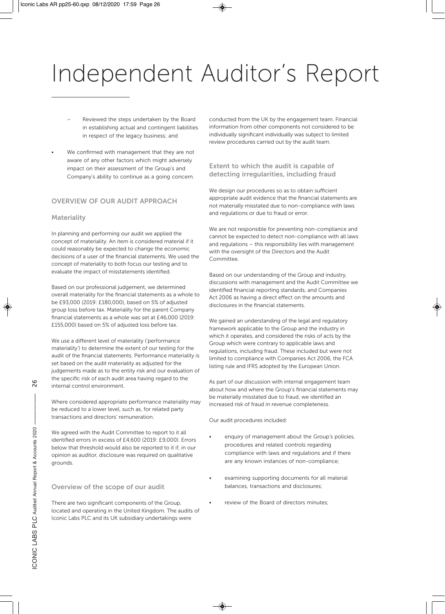- Reviewed the steps undertaken by the Board in establishing actual and contingent liabilities in respect of the legacy business; and
- We confirmed with management that they are not aware of any other factors which might adversely impact on their assessment of the Group's and Company's ability to continue as a going concern.

#### **OVERVIEW OF OUR AUDIT APPROACH**

#### **Materiality**

In planning and performing our audit we applied the concept of materiality. An item is considered material if it could reasonably be expected to change the economic decisions of a user of the financial statements. We used the concept of materiality to both focus our testing and to evaluate the impact of misstatements identified.

Based on our professional judgement, we determined overall materiality for the financial statements as a whole to be £93,000 (2019: £180,000), based on 5% of adjusted group loss before tax. Materiality for the parent Company financial statements as a whole was set at £46,000 (2019: £155,000) based on 5% of adjusted loss before tax.

We use a different level of materiality ('performance materiality') to determine the extent of our testing for the audit of the financial statements. Performance materiality is set based on the audit materiality as adjusted for the judgements made as to the entity risk and our evaluation of the specific risk of each audit area having regard to the internal control environment.

Where considered appropriate performance materiality may be reduced to a lower level, such as, for related party transactions and directors' remuneration.

We agreed with the Audit Committee to report to it all identified errors in excess of £4,600 (2019: £9,000). Errors below that threshold would also be reported to it if, in our opinion as auditor, disclosure was required on qualitative grounds.

#### **Overview of the scope of our audit**

There are two significant components of the Group, located and operating in the United Kingdom. The audits of Iconic Labs PLC and its UK subsidiary undertakings were

conducted from the UK by the engagement team. Financial information from other components not considered to be individually significant individually was subject to limited review procedures carried out by the audit team.

#### **Extent to which the audit is capable of detecting irregularities, including fraud**

We design our procedures so as to obtain sufficient appropriate audit evidence that the financial statements are not materially misstated due to non-compliance with laws and regulations or due to fraud or error.

We are not responsible for preventing non-compliance and cannot be expected to detect non-compliance with all laws and regulations – this responsibility lies with management with the oversight of the Directors and the Audit Committee.

Based on our understanding of the Group and industry, discussions with management and the Audit Committee we identified financial reporting standards, and Companies Act 2006 as having a direct effect on the amounts and disclosures in the financial statements.

We gained an understanding of the legal and regulatory framework applicable to the Group and the industry in which it operates, and considered the risks of acts by the Group which were contrary to applicable laws and regulations, including fraud. These included but were not limited to compliance with Companies Act 2006, the FCA listing rule and IFRS adopted by the European Union.

As part of our discussion with internal engagement team about how and where the Group's financial statements may be materially misstated due to fraud, we identified an increased risk of fraud in revenue completeness.

Our audit procedures included:

- enquiry of management about the Group's policies, procedures and related controls regarding compliance with laws and regulations and if there are any known instances of non-compliance;
- examining supporting documents for all material balances, transactions and disclosures;
	- review of the Board of directors minutes;

 $\frac{8}{2}$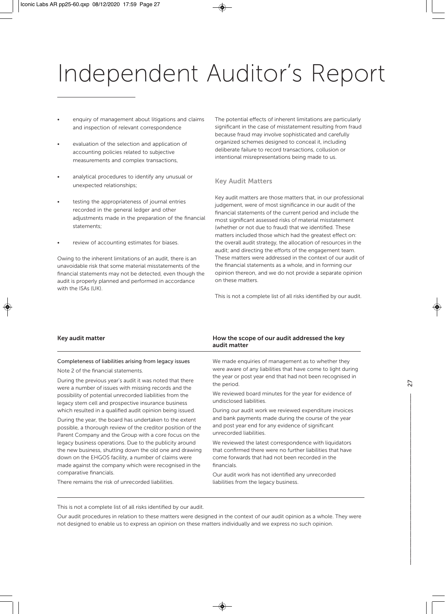- enquiry of management about litigations and claims and inspection of relevant correspondence
- evaluation of the selection and application of accounting policies related to subjective measurements and complex transactions,
- analytical procedures to identify any unusual or unexpected relationships;
- testing the appropriateness of journal entries recorded in the general ledger and other adjustments made in the preparation of the financial statements;
- review of accounting estimates for biases.

Owing to the inherent limitations of an audit, there is an unavoidable risk that some material misstatements of the financial statements may not be detected, even though the audit is properly planned and performed in accordance with the ISAs (UK).

The potential effects of inherent limitations are particularly significant in the case of misstatement resulting from fraud because fraud may involve sophisticated and carefully organized schemes designed to conceal it, including deliberate failure to record transactions, collusion or intentional misrepresentations being made to us.

#### **Key Audit Matters**

Key audit matters are those matters that, in our professional judgement, were of most significance in our audit of the financial statements of the current period and include the most significant assessed risks of material misstatement (whether or not due to fraud) that we identified. These matters included those which had the greatest effect on: the overall audit strategy, the allocation of resources in the audit; and directing the efforts of the engagement team. These matters were addressed in the context of our audit of the financial statements as a whole, and in forming our opinion thereon, and we do not provide a separate opinion on these matters.

This is not a complete list of all risks identified by our audit.

| Key audit matter                                                                                                                                                                                                                    | How the scope of our audit addressed the key<br>audit matter                                                                                                                           |  |
|-------------------------------------------------------------------------------------------------------------------------------------------------------------------------------------------------------------------------------------|----------------------------------------------------------------------------------------------------------------------------------------------------------------------------------------|--|
| Completeness of liabilities arising from legacy issues<br>Note 2 of the financial statements.                                                                                                                                       | We made enquiries of management as to whether they<br>were aware of any liabilities that have come to light during                                                                     |  |
| During the previous year's audit it was noted that there<br>were a number of issues with missing records and the<br>possibility of potential unrecorded liabilities from the<br>legacy stem cell and prospective insurance business | the year or post year end that had not been recognised in<br>the period.                                                                                                               |  |
|                                                                                                                                                                                                                                     | We reviewed board minutes for the year for evidence of<br>undisclosed liabilities.                                                                                                     |  |
| which resulted in a qualified audit opinion being issued.                                                                                                                                                                           | During our audit work we reviewed expenditure invoices                                                                                                                                 |  |
| During the year, the board has undertaken to the extent<br>possible, a thorough review of the creditor position of the<br>Parent Company and the Group with a core focus on the                                                     | and bank payments made during the course of the year<br>and post year end for any evidence of significant<br>unrecorded liabilities.                                                   |  |
| legacy business operations. Due to the publicity around<br>the new business, shutting down the old one and drawing<br>down on the EHGOS facility, a number of claims were<br>made against the company which were recognised in the  | We reviewed the latest correspondence with liquidators<br>that confirmed there were no further liabilities that have<br>come forwards that had not been recorded in the<br>financials. |  |
| comparative financials.                                                                                                                                                                                                             | Our audit work has not identified any unrecorded                                                                                                                                       |  |
| There remains the risk of unrecorded liabilities.                                                                                                                                                                                   | liabilities from the legacy business.                                                                                                                                                  |  |

This is not a complete list of all risks identified by our audit.

Our audit procedures in relation to these matters were designed in the context of our audit opinion as a whole. They were not designed to enable us to express an opinion on these matters individually and we express no such opinion.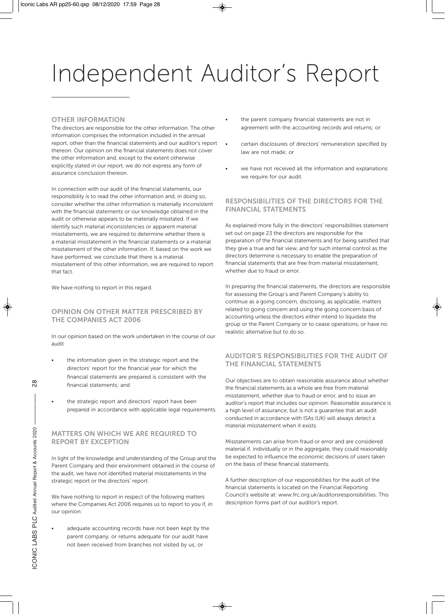#### **OTHER INFORMATION**

The directors are responsible for the other information. The other information comprises the information included in the annual report, other than the financial statements and our auditor's report thereon. Our opinion on the financial statements does not cover the other information and, except to the extent otherwise explicitly stated in our report, we do not express any form of assurance conclusion thereon.

In connection with our audit of the financial statements, our responsibility is to read the other information and, in doing so, consider whether the other information is materially inconsistent with the financial statements or our knowledge obtained in the audit or otherwise appears to be materially misstated. If we identify such material inconsistencies or apparent material misstatements, we are required to determine whether there is a material misstatement in the financial statements or a material misstatement of the other information. If, based on the work we have performed, we conclude that there is a material misstatement of this other information, we are required to report that fact.

We have nothing to report in this regard.

#### **OPINION ON OTHER MATTER PRESCRIBED BY THE COMPANIES ACT 2006**

In our opinion based on the work undertaken in the course of our audit

- the information given in the strategic report and the directors' report for the financial year for which the financial statements are prepared is consistent with the financial statements; and
- the strategic report and directors' report have been prepared in accordance with applicable legal requirements.

#### **MATTERS ON WHICH WE ARE REQUIRED TO REPORT BY EXCEPTION**

In light of the knowledge and understanding of the Group and the Parent Company and their environment obtained in the course of the audit, we have not identified material misstatements in the strategic report or the directors' report.

We have nothing to report in respect of the following matters where the Companies Act 2006 requires us to report to you if, in our opinion:

adequate accounting records have not been kept by the parent company, or returns adequate for our audit have not been received from branches not visited by us; or

- the parent company financial statements are not in agreement with the accounting records and returns; or
- certain disclosures of directors' remuneration specified by law are not made; or
- we have not received all the information and explanations we require for our audit.

#### **RESPONSIBILITIES OF THE DIRECTORS FOR THE FINANCIAL STATEMENTS**

As explained more fully in the directors' responsibilities statement set out on page 23 the directors are responsible for the preparation of the financial statements and for being satisfied that they give a true and fair view, and for such internal control as the directors determine is necessary to enable the preparation of financial statements that are free from material misstatement, whether due to fraud or error.

In preparing the financial statements, the directors are responsible for assessing the Group's and Parent Company's ability to continue as a going concern, disclosing, as applicable, matters related to going concern and using the going concern basis of accounting unless the directors either intend to liquidate the group or the Parent Company or to cease operations, or have no realistic alternative but to do so.

#### **AUDITOR'S RESPONSIBILITIES FOR THE AUDIT OF THE FINANCIAL STATEMENTS**

Our objectives are to obtain reasonable assurance about whether the financial statements as a whole are free from material misstatement, whether due to fraud or error, and to issue an auditor's report that includes our opinion. Reasonable assurance is a high level of assurance, but is not a guarantee that an audit conducted in accordance with ISAs (UK) will always detect a material misstatement when it exists.

Misstatements can arise from fraud or error and are considered material if, individually or in the aggregate, they could reasonably be expected to influence the economic decisions of users taken on the basis of these financial statements.

A further description of our responsibilities for the audit of the financial statements is located on the Financial Reporting Council's website at: www.frc.org.uk/auditorsresponsibilities. This description forms part of our auditor's report.

 $\frac{8}{2}$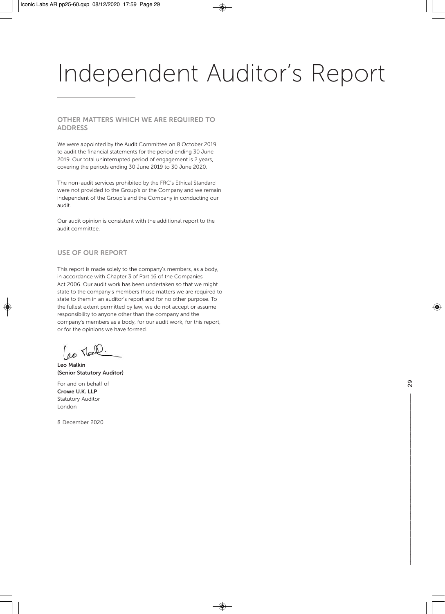#### **OTHER MATTERS WHICH WE ARE REQUIRED TO ADDRESS**

We were appointed by the Audit Committee on 8 October 2019 to audit the financial statements for the period ending 30 June 2019. Our total uninterrupted period of engagement is 2 years, covering the periods ending 30 June 2019 to 30 June 2020.

The non-audit services prohibited by the FRC's Ethical Standard were not provided to the Group's or the Company and we remain independent of the Group's and the Company in conducting our audit.

Our audit opinion is consistent with the additional report to the audit committee.

#### **USE OF OUR REPORT**

This report is made solely to the company's members, as a body, in accordance with Chapter 3 of Part 16 of the Companies Act 2006. Our audit work has been undertaken so that we might state to the company's members those matters we are required to state to them in an auditor's report and for no other purpose. To the fullest extent permitted by law, we do not accept or assume responsibility to anyone other than the company and the company's members as a body, for our audit work, for this report, or for the opinions we have formed.

(eo Mall.

**Leo Malkin (Senior Statutory Auditor)** 

For and on behalf of **Crowe U.K. LLP**  Statutory Auditor London

8 December 2020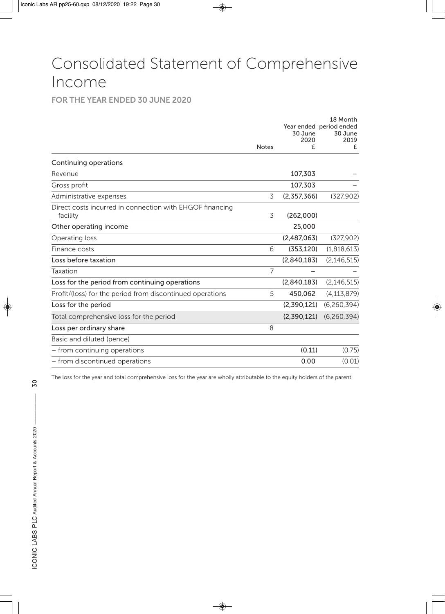### Consolidated Statement of Comprehensive Income

#### **FOR THE YEAR ENDED 30 JUNE 2020**

|                                                                      | <b>Notes</b>   | 30 June<br>2020<br>£ | 18 Month<br>Year ended period ended<br>30 June<br>2019<br>£ |
|----------------------------------------------------------------------|----------------|----------------------|-------------------------------------------------------------|
| Continuing operations                                                |                |                      |                                                             |
| Revenue                                                              |                | 107,303              |                                                             |
| Gross profit                                                         |                | 107,303              |                                                             |
| Administrative expenses                                              | 3              | (2,357,366)          | (327,902)                                                   |
| Direct costs incurred in connection with EHGOF financing<br>facility | 3              | (262,000)            |                                                             |
| Other operating income                                               |                | 25,000               |                                                             |
| Operating loss                                                       |                | (2,487,063)          | (327,902)                                                   |
| Finance costs                                                        | 6              | (353, 120)           | (1,818,613)                                                 |
| Loss before taxation                                                 |                | (2,840,183)          | (2, 146, 515)                                               |
| Taxation                                                             | $\overline{7}$ |                      |                                                             |
| Loss for the period from continuing operations                       |                | (2,840,183)          | (2, 146, 515)                                               |
| Profit/(loss) for the period from discontinued operations            | 5              | 450,062              | (4, 113, 879)                                               |
| Loss for the period                                                  |                | (2,390,121)          | (6,260,394)                                                 |
| Total comprehensive loss for the period                              |                | (2,390,121)          | (6, 260, 394)                                               |
| Loss per ordinary share                                              | 8              |                      |                                                             |
| Basic and diluted (pence)                                            |                |                      |                                                             |
| - from continuing operations                                         |                | (0.11)               | (0.75)                                                      |
| - from discontinued operations                                       |                | 0.00                 | (0.01)                                                      |

The loss for the year and total comprehensive loss for the year are wholly attributable to the equity holders of the parent.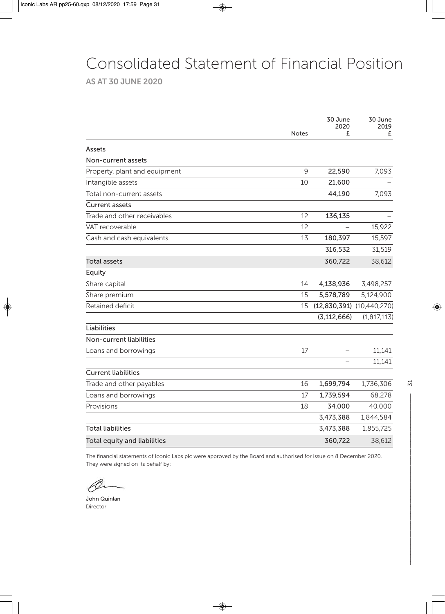### Consolidated Statement of Financial Position

**AS AT 30 JUNE 2020**

|                               |              | 30 June<br>2020 | 30 June<br>2019               |
|-------------------------------|--------------|-----------------|-------------------------------|
|                               | <b>Notes</b> | £               | £                             |
| Assets                        |              |                 |                               |
| Non-current assets            |              |                 |                               |
| Property, plant and equipment | 9            | 22,590          | 7,093                         |
| Intangible assets             | 10           | 21,600          |                               |
| Total non-current assets      |              | 44,190          | 7,093                         |
| <b>Current assets</b>         |              |                 |                               |
| Trade and other receivables   | 12           | 136,135         |                               |
| VAT recoverable               | 12           |                 | 15,922                        |
| Cash and cash equivalents     | 13           | 180,397         | 15,597                        |
|                               |              | 316,532         | 31,519                        |
| Total assets                  |              | 360,722         | 38,612                        |
| Equity                        |              |                 |                               |
| Share capital                 | 14           | 4,138,936       | 3,498,257                     |
| Share premium                 | 15           | 5,578,789       | 5,124,900                     |
| Retained deficit              | 15           |                 | $(12,830,391)$ $(10,440,270)$ |
|                               |              | (3, 112, 666)   | (1, 817, 113)                 |
| <b>Liabilities</b>            |              |                 |                               |
| Non-current liabilities       |              |                 |                               |
| Loans and borrowings          | 17           |                 | 11,141                        |
|                               |              |                 | 11,141                        |
| <b>Current liabilities</b>    |              |                 |                               |
| Trade and other payables      | 16           | 1,699,794       | 1,736,306                     |
| Loans and borrowings          | 17           | 1,739,594       | 68,278                        |
| Provisions                    | 18           | 34,000          | 40,000                        |
|                               |              | 3,473,388       | 1,844,584                     |
| <b>Total liabilities</b>      |              | 3,473,388       | 1,855,725                     |
| Total equity and liabilities  |              | 360,722         | 38,612                        |

The financial statements of Iconic Labs plc were approved by the Board and authorised for issue on 8 December 2020. They were signed on its behalf by:

John Quinlan Director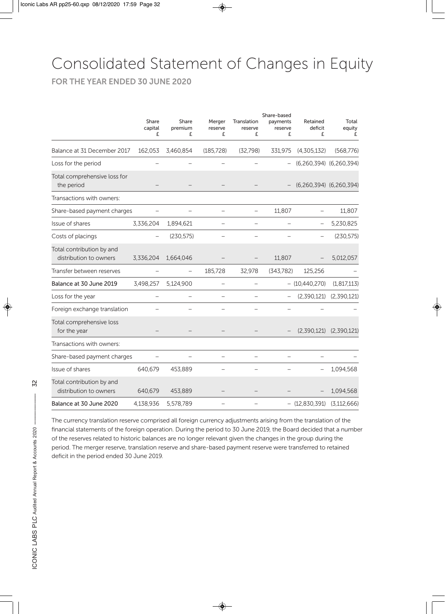### Consolidated Statement of Changes in Equity

**FOR THE YEAR ENDED 30 JUNE 2020**

|                                                     | Share<br>capital<br>£ | Share<br>premium<br>£ | Merger<br>reserve<br>£   | Translation<br>reserve<br>£ | Share-based<br>payments<br>reserve<br>£ | Retained<br>deficit<br>£ | Total<br>equity<br>£    |
|-----------------------------------------------------|-----------------------|-----------------------|--------------------------|-----------------------------|-----------------------------------------|--------------------------|-------------------------|
| Balance at 31 December 2017                         | 162,053               | 3,460,854             | (185, 728)               | (32,798)                    | 331,975                                 | (4,305,132)              | (568, 776)              |
| Loss for the period                                 |                       |                       |                          |                             |                                         |                          | (6,260,394) (6,260,394) |
| Total comprehensive loss for<br>the period          |                       |                       |                          |                             |                                         |                          | (6,260,394) (6,260,394) |
| Transactions with owners:                           |                       |                       |                          |                             |                                         |                          |                         |
| Share-based payment charges                         |                       |                       |                          |                             | 11,807                                  |                          | 11,807                  |
| Issue of shares                                     | 3,336,204             | 1,894,621             | $\overline{\phantom{0}}$ | $\overline{\phantom{0}}$    | $\overline{\phantom{0}}$                |                          | 5,230,825               |
| Costs of placings                                   |                       | (230, 575)            |                          |                             |                                         |                          | (230, 575)              |
| Total contribution by and<br>distribution to owners | 3,336,204             | 1,664,046             |                          |                             | 11,807                                  |                          | 5,012,057               |
| Transfer between reserves                           |                       |                       | 185,728                  | 32,978                      | (343,782)                               | 125,256                  |                         |
| Balance at 30 June 2019                             | 3,498,257             | 5,124,900             |                          |                             |                                         | $-$ (10,440,270)         | (1, 817, 113)           |
| Loss for the year                                   |                       |                       |                          |                             |                                         | (2,390,121)              | (2,390,121)             |
| Foreign exchange translation                        |                       |                       |                          |                             |                                         |                          |                         |
| Total comprehensive loss<br>for the year            |                       |                       |                          |                             |                                         | (2,390,121)              | (2,390,121)             |
| Transactions with owners:                           |                       |                       |                          |                             |                                         |                          |                         |
| Share-based payment charges                         |                       |                       |                          |                             |                                         |                          |                         |
| Issue of shares                                     | 640,679               | 453,889               |                          |                             |                                         |                          | 1,094,568               |
| Total contribution by and<br>distribution to owners | 640,679               | 453,889               |                          |                             |                                         |                          | 1,094,568               |
| Balance at 30 June 2020                             | 4,138,936             | 5,578,789             |                          |                             |                                         | $-$ (12,830,391)         | (3, 112, 666)           |

The currency translation reserve comprised all foreign currency adjustments arising from the translation of the financial statements of the foreign operation. During the period to 30 June 2019, the Board decided that a number of the reserves related to historic balances are no longer relevant given the changes in the group during the period. The merger reserve, translation reserve and share-based payment reserve were transferred to retained deficit in the period ended 30 June 2019.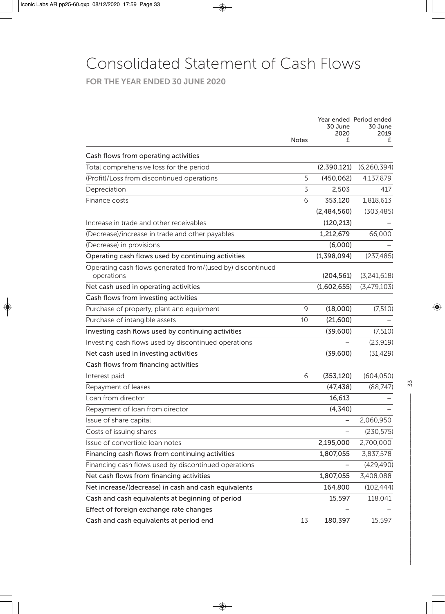### Consolidated Statement of Cash Flows

**FOR THE YEAR ENDED 30 JUNE 2020**

|                                                                                 | <b>Notes</b> | 30 June<br>2020<br>£ | Year ended Period ended<br>30 June<br>2019<br>£ |
|---------------------------------------------------------------------------------|--------------|----------------------|-------------------------------------------------|
|                                                                                 |              |                      |                                                 |
| Cash flows from operating activities<br>Total comprehensive loss for the period |              | (2,390,121)          | (6, 260, 394)                                   |
| (Profit)/Loss from discontinued operations                                      | 5            | (450, 062)           | 4,137,879                                       |
| Depreciation                                                                    | 3            | 2,503                | 417                                             |
| Finance costs                                                                   | 6            | 353,120              | 1,818,613                                       |
|                                                                                 |              |                      |                                                 |
| Increase in trade and other receivables                                         |              | (2,484,560)          | (303, 485)                                      |
|                                                                                 |              | (120, 213)           |                                                 |
| (Decrease)/increase in trade and other payables                                 |              | 1,212,679            | 66,000                                          |
| (Decrease) in provisions                                                        |              | (6,000)              |                                                 |
| Operating cash flows used by continuing activities                              |              | (1,398,094)          | (237, 485)                                      |
| Operating cash flows generated from/(used by) discontinued<br>operations        |              | (204, 561)           | (3,241,618)                                     |
| Net cash used in operating activities                                           |              | (1,602,655)          | (3,479,103)                                     |
| Cash flows from investing activities                                            |              |                      |                                                 |
| Purchase of property, plant and equipment                                       | 9            | (18,000)             | (7, 510)                                        |
| Purchase of intangible assets                                                   | 10           | (21,600)             |                                                 |
| Investing cash flows used by continuing activities                              |              | (39,600)             | (7, 510)                                        |
| Investing cash flows used by discontinued operations                            |              |                      | (23, 919)                                       |
| Net cash used in investing activities                                           |              | (39,600)             | (31, 429)                                       |
| Cash flows from financing activities                                            |              |                      |                                                 |
| Interest paid                                                                   | 6            | (353, 120)           | (604, 050)                                      |
| Repayment of leases                                                             |              | (47, 438)            | (88, 747)                                       |
| Loan from director                                                              |              | 16,613               |                                                 |
| Repayment of loan from director                                                 |              | (4, 340)             |                                                 |
| Issue of share capital                                                          |              |                      | 2,060,950                                       |
| Costs of issuing shares                                                         |              |                      | (230, 575)                                      |
| Issue of convertible loan notes                                                 |              | 2,195,000            | 2,700,000                                       |
| Financing cash flows from continuing activities                                 |              | 1,807,055            | 3,837,578                                       |
| Financing cash flows used by discontinued operations                            |              |                      | (429, 490)                                      |
| Net cash flows from financing activities                                        |              | 1,807,055            | 3,408,088                                       |
| Net increase/(decrease) in cash and cash equivalents                            |              | 164,800              | (102, 444)                                      |
| Cash and cash equivalents at beginning of period                                |              | 15,597               | 118,041                                         |
| Effect of foreign exchange rate changes                                         |              |                      |                                                 |
| Cash and cash equivalents at period end                                         | 13           | 180,397              | 15,597                                          |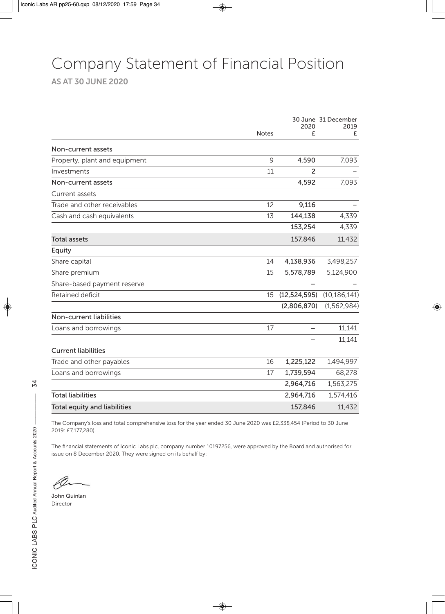### Company Statement of Financial Position

**AS AT 30 JUNE 2020**

|                               |              | 2020           | 30 June 31 December<br>2019 |
|-------------------------------|--------------|----------------|-----------------------------|
|                               | <b>Notes</b> | £              | £                           |
| Non-current assets            |              |                |                             |
| Property, plant and equipment | 9            | 4,590          | 7,093                       |
| Investments                   | 11           | $\overline{2}$ |                             |
| Non-current assets            |              | 4,592          | 7,093                       |
| Current assets                |              |                |                             |
| Trade and other receivables   | 12           | 9,116          |                             |
| Cash and cash equivalents     | 13           | 144,138        | 4,339                       |
|                               |              | 153,254        | 4,339                       |
| <b>Total assets</b>           |              | 157,846        | 11,432                      |
| Equity                        |              |                |                             |
| Share capital                 | 14           | 4,138,936      | 3,498,257                   |
| Share premium                 | 15           | 5,578,789      | 5,124,900                   |
| Share-based payment reserve   |              |                |                             |
| Retained deficit              | 15           | (12, 524, 595) | (10, 186, 141)              |
|                               |              | (2,806,870)    | (1, 562, 984)               |
| Non-current liabilities       |              |                |                             |
| Loans and borrowings          | 17           |                | 11,141                      |
|                               |              | -              | 11,141                      |
| <b>Current liabilities</b>    |              |                |                             |
| Trade and other payables      | 16           | 1,225,122      | 1,494,997                   |
| Loans and borrowings          | 17           | 1,739,594      | 68,278                      |
|                               |              | 2,964,716      | 1,563,275                   |
| <b>Total liabilities</b>      |              | 2,964,716      | 1,574,416                   |
| Total equity and liabilities  |              | 157,846        | 11,432                      |

The Company's loss and total comprehensive loss for the year ended 30 June 2020 was £2,338,454 (Period to 30 June 2019: £7,177,280).

The financial statements of Iconic Labs plc, company number 10197256, were approved by the Board and authorised for issue on 8 December 2020. They were signed on its behalf by:

John Quinlan Director

34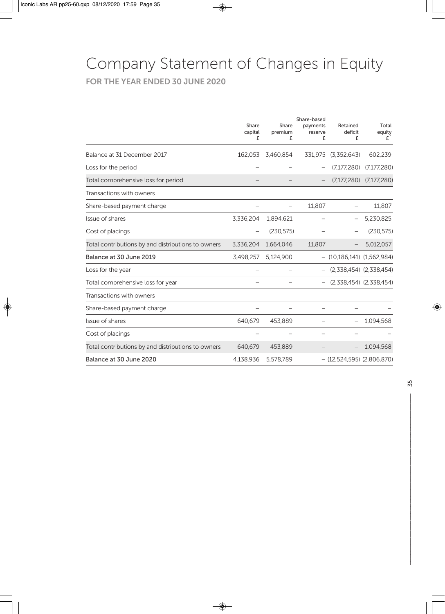### Company Statement of Changes in Equity

**FOR THE YEAR ENDED 30 JUNE 2020**

|                                                    | Share<br>capital<br>£ | Share<br>premium<br>£ | Share-based<br>payments<br>reserve<br>£ | Retained<br>deficit<br>£         | Total<br>equity<br>£        |
|----------------------------------------------------|-----------------------|-----------------------|-----------------------------------------|----------------------------------|-----------------------------|
| Balance at 31 December 2017                        | 162,053               | 3,460,854             | 331,975                                 | (3,352,643)                      | 602,239                     |
| Loss for the period                                |                       |                       |                                         | (7,177,280)                      | (7, 177, 280)               |
| Total comprehensive loss for period                |                       |                       |                                         | (7,177,280)                      | (7,177,280)                 |
| Transactions with owners                           |                       |                       |                                         |                                  |                             |
| Share-based payment charge                         |                       |                       | 11,807                                  |                                  | 11,807                      |
| Issue of shares                                    | 3,336,204             | 1,894,621             |                                         |                                  | 5,230,825                   |
| Cost of placings                                   |                       | (230, 575)            |                                         |                                  | (230, 575)                  |
| Total contributions by and distributions to owners | 3,336,204             | 1,664,046             | 11,807                                  |                                  | 5,012,057                   |
| Balance at 30 June 2019                            | 3,498,257             | 5,124,900             | $\overline{\phantom{0}}$                | $(10, 186, 141)$ $(1, 562, 984)$ |                             |
| Loss for the year                                  |                       |                       |                                         |                                  | $(2,338,454)$ $(2,338,454)$ |
| Total comprehensive loss for year                  |                       |                       |                                         |                                  | $(2,338,454)$ $(2,338,454)$ |
| Transactions with owners                           |                       |                       |                                         |                                  |                             |
| Share-based payment charge                         |                       |                       |                                         |                                  |                             |
| Issue of shares                                    | 640,679               | 453,889               |                                         |                                  | 1,094,568                   |
| Cost of placings                                   |                       |                       |                                         |                                  |                             |
| Total contributions by and distributions to owners | 640,679               | 453,889               |                                         |                                  | 1,094,568                   |
| Balance at 30 June 2020                            | 4,138,936             | 5,578,789             |                                         | $-$ (12,524,595) (2,806,870)     |                             |

35 –––––––––––––––––––––––––––––––––––––––––––––––––– 35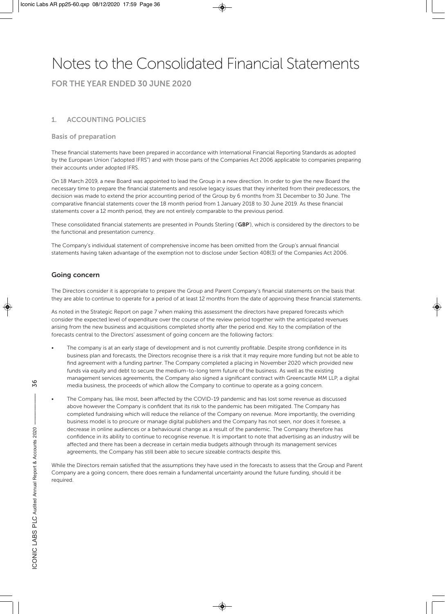### Notes to the Consolidated Financial Statements

**FOR THE YEAR ENDED 30 JUNE 2020**

#### **1. ACCOUNTING POLICIES**

#### **Basis of preparation**

These financial statements have been prepared in accordance with International Financial Reporting Standards as adopted by the European Union ("adopted IFRS") and with those parts of the Companies Act 2006 applicable to companies preparing their accounts under adopted IFRS.

On 18 March 2019, a new Board was appointed to lead the Group in a new direction. In order to give the new Board the necessary time to prepare the financial statements and resolve legacy issues that they inherited from their predecessors, the decision was made to extend the prior accounting period of the Group by 6 months from 31 December to 30 June. The comparative financial statements cover the 18 month period from 1 January 2018 to 30 June 2019. As these financial statements cover a 12 month period, they are not entirely comparable to the previous period.

These consolidated financial statements are presented in Pounds Sterling ('**GBP**'), which is considered by the directors to be the functional and presentation currency.

The Company's individual statement of comprehensive income has been omitted from the Group's annual financial statements having taken advantage of the exemption not to disclose under Section 408(3) of the Companies Act 2006.

#### **Going concern**

The Directors consider it is appropriate to prepare the Group and Parent Company's financial statements on the basis that they are able to continue to operate for a period of at least 12 months from the date of approving these financial statements.

As noted in the Strategic Report on page 7 when making this assessment the directors have prepared forecasts which consider the expected level of expenditure over the course of the review period together with the anticipated revenues arising from the new business and acquisitions completed shortly after the period end. Key to the compilation of the forecasts central to the Directors' assessment of going concern are the following factors:

- The company is at an early stage of development and is not currently profitable. Despite strong confidence in its business plan and forecasts, the Directors recognise there is a risk that it may require more funding but not be able to find agreement with a funding partner. The Company completed a placing in November 2020 which provided new funds via equity and debt to secure the medium-to-long term future of the business. As well as the existing management services agreements, the Company also signed a significant contract with Greencastle MM LLP, a digital media business, the proceeds of which allow the Company to continue to operate as a going concern.
- The Company has, like most, been affected by the COVID-19 pandemic and has lost some revenue as discussed above however the Company is confident that its risk to the pandemic has been mitigated. The Company has completed fundraising which will reduce the reliance of the Company on revenue. More importantly, the overriding business model is to procure or manage digital publishers and the Company has not seen, nor does it foresee, a decrease in online audiences or a behavioural change as a result of the pandemic. The Company therefore has confidence in its ability to continue to recognise revenue. It is important to note that advertising as an industry will be affected and there has been a decrease in certain media budgets although through its management services agreements, the Company has still been able to secure sizeable contracts despite this.

While the Directors remain satisfied that the assumptions they have used in the forecasts to assess that the Group and Parent Company are a going concern, there does remain a fundamental uncertainty around the future funding, should it be required.

36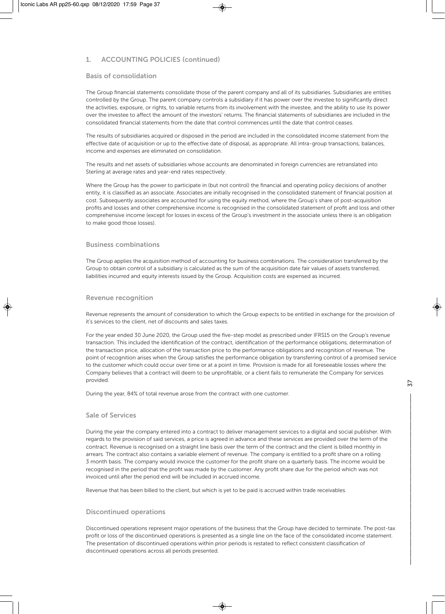#### **1. ACCOUNTING POLICIES (continued)**

#### **Basis of consolidation**

The Group financial statements consolidate those of the parent company and all of its subsidiaries. Subsidiaries are entities controlled by the Group. The parent company controls a subsidiary if it has power over the investee to significantly direct the activities, exposure, or rights, to variable returns from its involvement with the investee, and the ability to use its power over the investee to affect the amount of the investors' returns. The financial statements of subsidiaries are included in the consolidated financial statements from the date that control commences until the date that control ceases.

The results of subsidiaries acquired or disposed in the period are included in the consolidated income statement from the effective date of acquisition or up to the effective date of disposal, as appropriate. All intra-group transactions, balances, income and expenses are eliminated on consolidation.

The results and net assets of subsidiaries whose accounts are denominated in foreign currencies are retranslated into Sterling at average rates and year-end rates respectively.

Where the Group has the power to participate in (but not control) the financial and operating policy decisions of another entity, it is classified as an associate. Associates are initially recognised in the consolidated statement of financial position at cost. Subsequently associates are accounted for using the equity method, where the Group's share of post-acquisition profits and losses and other comprehensive income is recognised in the consolidated statement of profit and loss and other comprehensive income (except for losses in excess of the Group's investment in the associate unless there is an obligation to make good those losses).

#### **Business combinations**

The Group applies the acquisition method of accounting for business combinations. The consideration transferred by the Group to obtain control of a subsidiary is calculated as the sum of the acquisition date fair values of assets transferred, liabilities incurred and equity interests issued by the Group. Acquisition costs are expensed as incurred.

#### **Revenue recognition**

Revenue represents the amount of consideration to which the Group expects to be entitled in exchange for the provision of it's services to the client, net of discounts and sales taxes.

For the year ended 30 June 2020, the Group used the five-step model as prescribed under IFRS15 on the Group's revenue transaction. This included the identification of the contract, identification of the performance obligations, determination of the transaction price, allocation of the transaction price to the performance obligations and recognition of revenue. The point of recognition arises when the Group satisfies the performance obligation by transferring control of a promised service to the customer which could occur over time or at a point in time. Provision is made for all foreseeable losses where the Company believes that a contract will deem to be unprofitable, or a client fails to remunerate the Company for services provided.

During the year, 84% of total revenue arose from the contract with one customer.

#### **Sale of Services**

During the year the company entered into a contract to deliver management services to a digital and social publisher. With regards to the provision of said services, a price is agreed in advance and these services are provided over the term of the contract. Revenue is recognised on a straight line basis over the term of the contract and the client is billed monthly in arrears. The contract also contains a variable element of revenue. The company is entitled to a profit share on a rolling 3 month basis. The company would invoice the customer for the profit share on a quarterly basis. The income would be recognised in the period that the profit was made by the customer. Any profit share due for the period which was not invoiced until after the period end will be included in accrued income.

Revenue that has been billed to the client, but which is yet to be paid is accrued within trade receivables.

#### **Discontinued operations**

Discontinued operations represent major operations of the business that the Group have decided to terminate. The post-tax profit or loss of the discontinued operations is presented as a single line on the face of the consolidated income statement. The presentation of discontinued operations within prior periods is restated to reflect consistent classification of discontinued operations across all periods presented.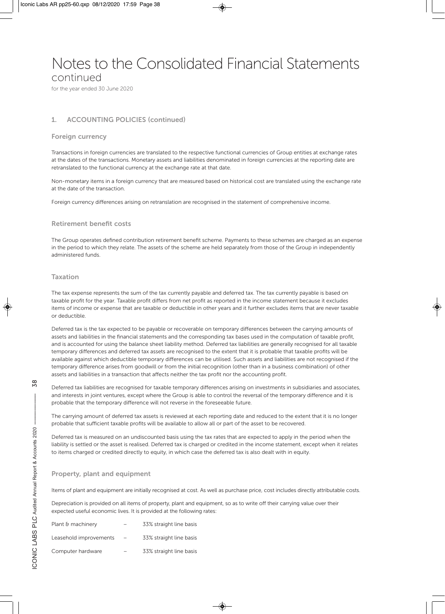### Notes to the Consolidated Financial Statements

continued

for the year ended 30 June 2020

#### **1. ACCOUNTING POLICIES (continued)**

#### **Foreign currency**

Transactions in foreign currencies are translated to the respective functional currencies of Group entities at exchange rates at the dates of the transactions. Monetary assets and liabilities denominated in foreign currencies at the reporting date are retranslated to the functional currency at the exchange rate at that date.

Non-monetary items in a foreign currency that are measured based on historical cost are translated using the exchange rate at the date of the transaction.

Foreign currency differences arising on retranslation are recognised in the statement of comprehensive income.

#### **Retirement benefit costs**

The Group operates defined contribution retirement benefit scheme. Payments to these schemes are charged as an expense in the period to which they relate. The assets of the scheme are held separately from those of the Group in independently administered funds.

#### **Taxation**

The tax expense represents the sum of the tax currently payable and deferred tax. The tax currently payable is based on taxable profit for the year. Taxable profit differs from net profit as reported in the income statement because it excludes items of income or expense that are taxable or deductible in other years and it further excludes items that are never taxable or deductible.

Deferred tax is the tax expected to be payable or recoverable on temporary differences between the carrying amounts of assets and liabilities in the financial statements and the corresponding tax bases used in the computation of taxable profit, and is accounted for using the balance sheet liability method. Deferred tax liabilities are generally recognised for all taxable temporary differences and deferred tax assets are recognised to the extent that it is probable that taxable profits will be available against which deductible temporary differences can be utilised. Such assets and liabilities are not recognised if the temporary difference arises from goodwill or from the initial recognition (other than in a business combination) of other assets and liabilities in a transaction that affects neither the tax profit nor the accounting profit.

Deferred tax liabilities are recognised for taxable temporary differences arising on investments in subsidiaries and associates, and interests in joint ventures, except where the Group is able to control the reversal of the temporary difference and it is probable that the temporary difference will not reverse in the foreseeable future.

The carrying amount of deferred tax assets is reviewed at each reporting date and reduced to the extent that it is no longer probable that sufficient taxable profits will be available to allow all or part of the asset to be recovered.

Deferred tax is measured on an undiscounted basis using the tax rates that are expected to apply in the period when the liability is settled or the asset is realised. Deferred tax is charged or credited in the income statement, except when it relates to items charged or credited directly to equity, in which case the deferred tax is also dealt with in equity.

#### **Property, plant and equipment**

Items of plant and equipment are initially recognised at cost. As well as purchase price, cost includes directly attributable costs.

Depreciation is provided on all items of property, plant and equipment, so as to write off their carrying value over their expected useful economic lives. It is provided at the following rates:

| Plant & machinery      |                   | 33% straight line basis |
|------------------------|-------------------|-------------------------|
| Leasehold improvements | $\qquad \qquad -$ | 33% straight line basis |
| Computer hardware      | -                 | 33% straight line basis |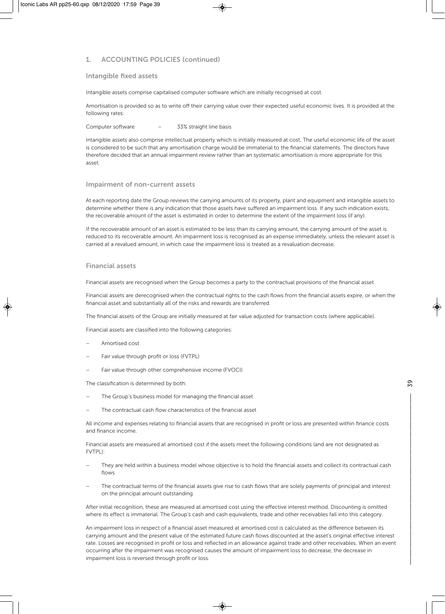#### **1. ACCOUNTING POLICIES (continued)**

#### **Intangible fixed assets**

Intangible assets comprise capitalised computer software which are initially recognised at cost.

Amortisation is provided so as to write off their carrying value over their expected useful economic lives. It is provided at the following rates:

Computer software – 33% straight line basis

Intangible assets also comprise intellectual property which is initially measured at cost. The useful economic life of the asset is considered to be such that any amortisation charge would be immaterial to the financial statements. The directors have therefore decided that an annual impairment review rather than an systematic amortisation is more appropriate for this asset.

#### **Impairment of non-current assets**

At each reporting date the Group reviews the carrying amounts of its property, plant and equipment and intangible assets to determine whether there is any indication that those assets have suffered an impairment loss. If any such indication exists, the recoverable amount of the asset is estimated in order to determine the extent of the impairment loss (if any).

If the recoverable amount of an asset is estimated to be less than its carrying amount, the carrying amount of the asset is reduced to its recoverable amount. An impairment loss is recognised as an expense immediately, unless the relevant asset is carried at a revalued amount, in which case the impairment loss is treated as a revaluation decrease.

#### **Financial assets**

Financial assets are recognised when the Group becomes a party to the contractual provisions of the financial asset.

Financial assets are derecognised when the contractual rights to the cash flows from the financial assets expire, or when the financial asset and substantially all of the risks and rewards are transferred.

The financial assets of the Group are initially measured at fair value adjusted for transaction costs (where applicable).

Financial assets are classified into the following categories:

- Amortised cost
- Fair value through profit or loss (FVTPL)
- Fair value through other comprehensive income (FVOCI)

The classification is determined by both:

- The Group's business model for managing the financial asset
- The contractual cash flow characteristics of the financial asset

All income and expenses relating to financial assets that are recognised in profit or loss are presented within finance costs and finance income.

Financial assets are measured at amortised cost if the assets meet the following conditions (and are not designated as FVTPL):

- They are held within a business model whose objective is to hold the financial assets and collect its contractual cash flows
- The contractual terms of the financial assets give rise to cash flows that are solely payments of principal and interest on the principal amount outstanding

After initial recognition, these are measured at amortised cost using the effective interest method. Discounting is omitted where its effect is immaterial. The Group's cash and cash equivalents, trade and other receivables fall into this category.

An impairment loss in respect of a financial asset measured at amortised cost is calculated as the difference between its carrying amount and the present value of the estimated future cash flows discounted at the asset's original effective interest rate. Losses are recognised in profit or loss and reflected in an allowance against trade and other receivables. When an event occurring after the impairment was recognised causes the amount of impairment loss to decrease, the decrease in impairment loss is reversed through profit or loss.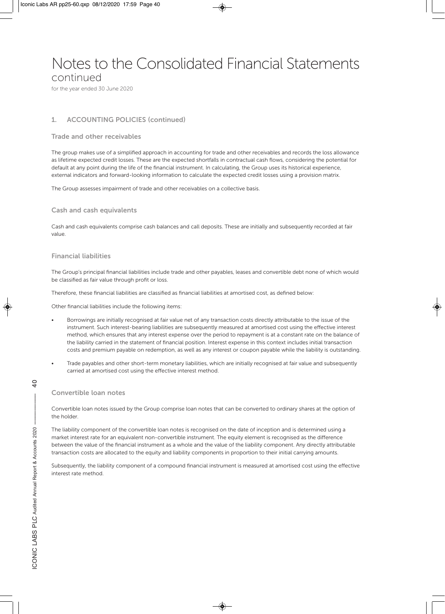### Notes to the Consolidated Financial Statements

continued

for the year ended 30 June 2020

#### **1. ACCOUNTING POLICIES (continued)**

#### **Trade and other receivables**

The group makes use of a simplified approach in accounting for trade and other receivables and records the loss allowance as lifetime expected credit losses. These are the expected shortfalls in contractual cash flows, considering the potential for default at any point during the life of the financial instrument. In calculating, the Group uses its historical experience, external indicators and forward-looking information to calculate the expected credit losses using a provision matrix.

The Group assesses impairment of trade and other receivables on a collective basis.

#### **Cash and cash equivalents**

Cash and cash equivalents comprise cash balances and call deposits. These are initially and subsequently recorded at fair value.

#### **Financial liabilities**

The Group's principal financial liabilities include trade and other payables, leases and convertible debt none of which would be classified as fair value through profit or loss.

Therefore, these financial liabilities are classified as financial liabilities at amortised cost, as defined below:

Other financial liabilities include the following items:

- Borrowings are initially recognised at fair value net of any transaction costs directly attributable to the issue of the instrument. Such interest-bearing liabilities are subsequently measured at amortised cost using the effective interest method, which ensures that any interest expense over the period to repayment is at a constant rate on the balance of the liability carried in the statement of financial position. Interest expense in this context includes initial transaction costs and premium payable on redemption, as well as any interest or coupon payable while the liability is outstanding.
- Trade payables and other short-term monetary liabilities, which are initially recognised at fair value and subsequently carried at amortised cost using the effective interest method.

#### **Convertible loan notes**

Convertible loan notes issued by the Group comprise loan notes that can be converted to ordinary shares at the option of the holder.

The liability component of the convertible loan notes is recognised on the date of inception and is determined using a market interest rate for an equivalent non-convertible instrument. The equity element is recognised as the difference between the value of the financial instrument as a whole and the value of the liability component. Any directly attributable transaction costs are allocated to the equity and liability components in proportion to their initial carrying amounts.

Subsequently, the liability component of a compound financial instrument is measured at amortised cost using the effective interest rate method.

d+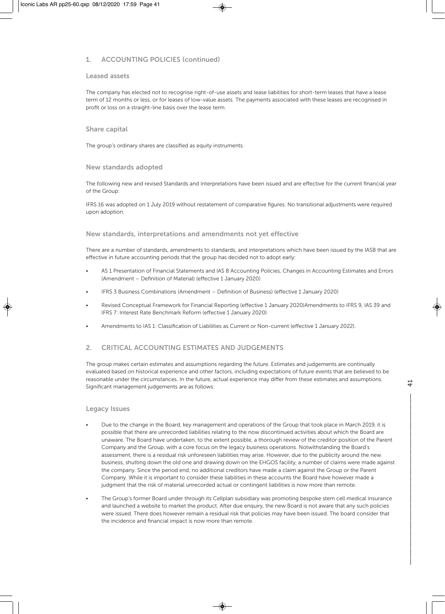#### **1. ACCOUNTING POLICIES (continued)**

#### **Leased assets**

The company has elected not to recognise right-of-use assets and lease liabilities for short-term leases that have a lease term of 12 months or less, or for leases of low-value assets. The payments associated with these leases are recognised in profit or loss on a straight-line basis over the lease term.

#### **Share capital**

The group's ordinary shares are classified as equity instruments.

#### **New standards adopted**

The following new and revised Standards and Interpretations have been issued and are effective for the current financial year of the Group:

IFRS 16 was adopted on 1 July 2019 without restatement of comparative figures. No transitional adjustments were required upon adoption.

#### **New standards, interpretations and amendments not yet effective**

There are a number of standards, amendments to standards, and interpretations which have been issued by the IASB that are effective in future accounting periods that the group has decided not to adopt early:

- AS 1 Presentation of Financial Statements and IAS 8 Accounting Policies, Changes in Accounting Estimates and Errors (Amendment – Definition of Material) (effective 1 January 2020)
- IFRS 3 Business Combinations (Amendment Definition of Business) (effective 1 January 2020)
- Revised Conceptual Framework for Financial Reporting (effective 1 January 2020)Amendments to IFRS 9, IAS 39 and IFRS 7: Interest Rate Benchmark Reform (effective 1 January 2020)
- Amendments to IAS 1: Classification of Liabilities as Current or Non-current (effective 1 January 2022).

#### **2. CRITICAL ACCOUNTING ESTIMATES AND JUDGEMENTS**

The group makes certain estimates and assumptions regarding the future. Estimates and judgements are continually evaluated based on historical experience and other factors, including expectations of future events that are believed to be reasonable under the circumstances. In the future, actual experience may differ from these estimates and assumptions. Significant management judgements are as follows:

#### **Legacy Issues**

- Due to the change in the Board, key management and operations of the Group that took place in March 2019, it is possible that there are unrecorded liabilities relating to the now discontinued activities about which the Board are unaware. The Board have undertaken, to the extent possible, a thorough review of the creditor position of the Parent Company and the Group, with a core focus on the legacy business operations. Notwithstanding the Board's assessment, there is a residual risk unforeseen liabilities may arise. However, due to the publicity around the new business, shutting down the old one and drawing down on the EHGOS facility, a number of claims were made against the company. Since the period end, no additional creditors have made a claim against the Group or the Parent Company. While it is important to consider these liabilities in these accounts the Board have however made a judgment that the risk of material unrecorded actual or contingent liabilities is now more than remote.
- The Group's former Board under through its Cellplan subsidiary was promoting bespoke stem cell medical insurance and launched a website to market the product. After due enquiry, the new Board is not aware that any such policies were issued. There does however remain a residual risk that policies may have been issued. The board consider that the incidence and financial impact is now more than remote.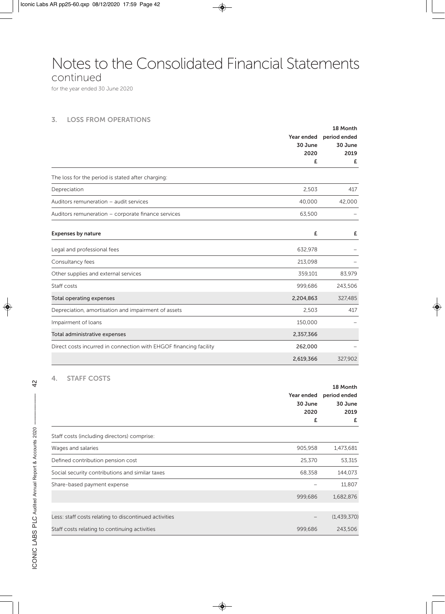### Notes to the Consolidated Financial Statements

continued

for the year ended 30 June 2020

#### **3. LOSS FROM OPERATIONS**

|                                                                   |            | 18 Month     |
|-------------------------------------------------------------------|------------|--------------|
|                                                                   | Year ended | period ended |
|                                                                   | 30 June    | 30 June      |
|                                                                   | 2020       | 2019         |
|                                                                   | £          | £            |
| The loss for the period is stated after charging:                 |            |              |
| Depreciation                                                      | 2,503      | 417          |
| Auditors remuneration - audit services                            | 40,000     | 42,000       |
| Auditors remuneration - corporate finance services                | 63,500     |              |
| <b>Expenses by nature</b>                                         | £          | £            |
| Legal and professional fees                                       | 632,978    |              |
| Consultancy fees                                                  | 213,098    |              |
| Other supplies and external services                              | 359,101    | 83,979       |
| Staff costs                                                       | 999,686    | 243,506      |
| Total operating expenses                                          | 2,204,863  | 327,485      |
| Depreciation, amortisation and impairment of assets               | 2,503      | 417          |
| Impairment of loans                                               | 150,000    |              |
| Total administrative expenses                                     | 2,357,366  |              |
| Direct costs incurred in connection with EHGOF financing facility | 262,000    |              |
|                                                                   | 2,619,366  | 327,902      |

#### **4. STAFF COSTS**

|                                                       |                            | 18 Month    |
|-------------------------------------------------------|----------------------------|-------------|
|                                                       | Year ended<br>period ended |             |
|                                                       | 30 June                    | 30 June     |
|                                                       | 2020                       | 2019        |
|                                                       | £                          | £           |
| Staff costs (including directors) comprise:           |                            |             |
| Wages and salaries                                    | 905,958                    | 1,473,681   |
| Defined contribution pension cost                     | 25,370                     | 53,315      |
| Social security contributions and similar taxes       | 68,358                     | 144,073     |
| Share-based payment expense                           |                            | 11,807      |
|                                                       | 999,686                    | 1,682,876   |
|                                                       |                            |             |
| Less: staff costs relating to discontinued activities |                            | (1,439,370) |
| Staff costs relating to continuing activities         | 999,686                    | 243,506     |

 $\overline{c}$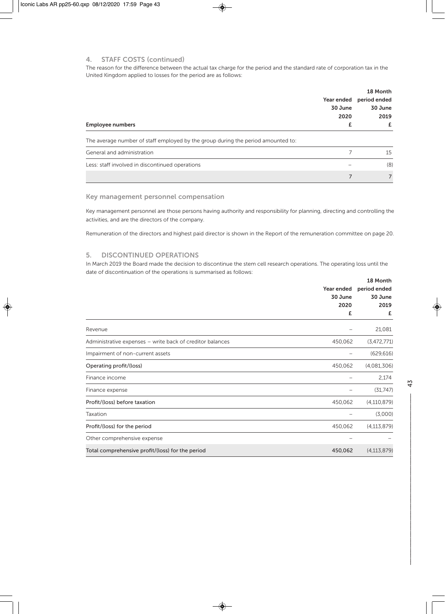#### **4. STAFF COSTS (continued)**

The reason for the difference between the actual tax charge for the period and the standard rate of corporation tax in the United Kingdom applied to losses for the period are as follows:

|                                                                                  |            | 18 Month     |
|----------------------------------------------------------------------------------|------------|--------------|
|                                                                                  | Year ended | period ended |
|                                                                                  | 30 June    | 30 June      |
|                                                                                  | 2020       | 2019         |
| <b>Employee numbers</b>                                                          |            |              |
| The average number of staff employed by the group during the period amounted to: |            |              |
| General and administration                                                       |            | 15           |
| Less: staff involved in discontinued operations                                  |            | (8)          |
|                                                                                  | 7          |              |

#### **Key management personnel compensation**

Key management personnel are those persons having authority and responsibility for planning, directing and controlling the activities, and are the directors of the company.

Remuneration of the directors and highest paid director is shown in the Report of the remuneration committee on page 20.

#### **5. DISCONTINUED OPERATIONS**

In March 2019 the Board made the decision to discontinue the stem cell research operations. The operating loss until the date of discontinuation of the operations is summarised as follows:

|                                                           |            | 18 Month      |  |
|-----------------------------------------------------------|------------|---------------|--|
|                                                           | Year ended | period ended  |  |
|                                                           | 30 June    | 30 June       |  |
|                                                           | 2020       | 2019          |  |
|                                                           | £          | £             |  |
| Revenue                                                   |            | 21,081        |  |
| Administrative expenses - write back of creditor balances | 450,062    | (3,472,771)   |  |
| Impairment of non-current assets                          |            | (629, 616)    |  |
| Operating profit/(loss)                                   | 450,062    | (4,081,306)   |  |
| Finance income                                            |            | 2,174         |  |
| Finance expense                                           |            | (31,747)      |  |
| Profit/(loss) before taxation                             | 450,062    | (4, 110, 879) |  |
| Taxation                                                  |            | (3,000)       |  |
| Profit/(loss) for the period                              | 450,062    | (4, 113, 879) |  |
| Other comprehensive expense                               |            |               |  |
| Total comprehensive profit/(loss) for the period          | 450,062    | (4, 113, 879) |  |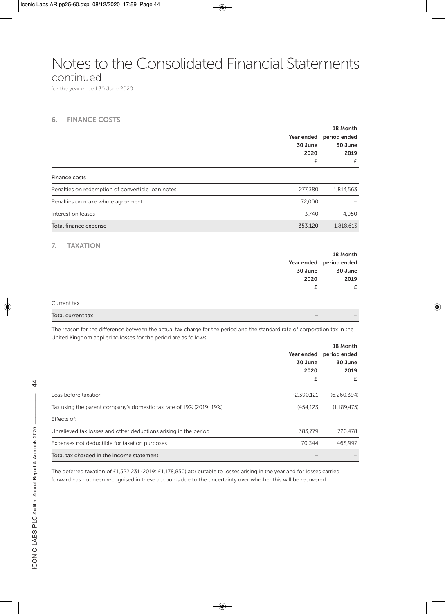### Notes to the Consolidated Financial Statements

continued

for the year ended 30 June 2020

#### **6. FINANCE COSTS**

|                                                                                                                            |             | 18 Month      |
|----------------------------------------------------------------------------------------------------------------------------|-------------|---------------|
|                                                                                                                            | Year ended  | period ended  |
|                                                                                                                            | 30 June     | 30 June       |
|                                                                                                                            | 2020        | 2019          |
|                                                                                                                            | £           | £             |
| Finance costs                                                                                                              |             |               |
| Penalties on redemption of convertible loan notes                                                                          | 277,380     | 1,814,563     |
| Penalties on make whole agreement                                                                                          | 72,000      |               |
| Interest on leases                                                                                                         | 3,740       | 4,050         |
| Total finance expense                                                                                                      | 353,120     | 1,818,613     |
|                                                                                                                            |             |               |
| 7.<br><b>TAXATION</b>                                                                                                      |             | 18 Month      |
|                                                                                                                            | Year ended  | period ended  |
|                                                                                                                            | 30 June     | 30 June       |
|                                                                                                                            | 2020        | 2019          |
|                                                                                                                            | £           | £             |
| Current tax                                                                                                                |             |               |
| Total current tax                                                                                                          |             |               |
| The reason for the difference between the actual tax charge for the period and the standard rate of corporation tax in the |             |               |
| United Kingdom applied to losses for the period are as follows:                                                            |             |               |
|                                                                                                                            |             | 18 Month      |
|                                                                                                                            | Year ended  | period ended  |
|                                                                                                                            | 30 June     | 30 June       |
|                                                                                                                            | 2020        | 2019          |
|                                                                                                                            | £           | £             |
| Loss before taxation                                                                                                       | (2,390,121) | (6, 260, 394) |
| Tax using the parent company's domestic tax rate of 19% (2019: 19%)                                                        | (454, 123)  | (1, 189, 475) |
| Effects of:                                                                                                                |             |               |

Expenses not deductible for taxation purposes **70,344** 468,997 Total tax charged in the income statement – –

The deferred taxation of £1,522,231 (2019: £1,178,850) attributable to losses arising in the year and for losses carried forward has not been recognised in these accounts due to the uncertainty over whether this will be recovered.

Unrelieved tax losses and other deductions arising in the period 383,779 383,779 720,478

 $\ddot{4}$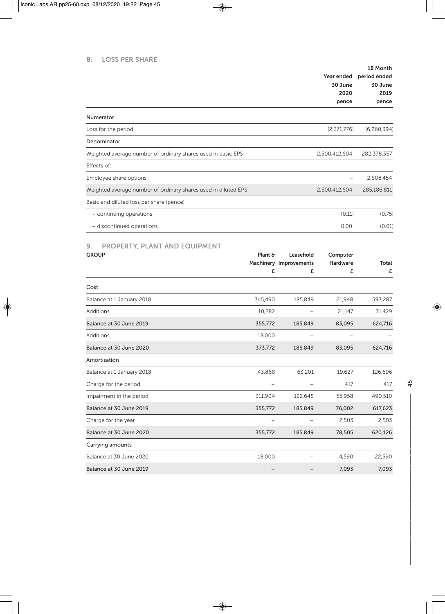#### **8. LOSS PER SHARE**

|                                                                | Year ended<br>30 June<br>2020<br>pence | 18 Month<br>period ended<br>30 June<br>2019<br>pence |
|----------------------------------------------------------------|----------------------------------------|------------------------------------------------------|
| Numerator                                                      |                                        |                                                      |
| Loss for the period                                            | (2,371,776)                            | (6,260,394)                                          |
| Denominator                                                    |                                        |                                                      |
| Weighted average number of ordinary shares used in basic EPS   | 2,500,412,604                          | 282,378,357                                          |
| Effects of:                                                    |                                        |                                                      |
| Employee share options                                         |                                        | 2,808,454                                            |
| Weighted average number of ordinary shares used in diluted EPS | 2,500,412,604                          | 285,186,811                                          |
| Basic and diluted loss per share (pence)                       |                                        |                                                      |
| - continuing operations                                        | (0.11)                                 | (0.75)                                               |
| - discontinued operations                                      | 0.00                                   | (0.01)                                               |

#### **9. PROPERTY, PLANT AND EQUIPMENT**

| <b>GROUP</b>              | Plant & | Leasehold              | Computer |              |
|---------------------------|---------|------------------------|----------|--------------|
|                           |         | Machinery Improvements | Hardware | <b>Total</b> |
|                           | £       | £                      | £        | £            |
| Cost                      |         |                        |          |              |
| Balance at 1 January 2018 | 345,490 | 185,849                | 61,948   | 593,287      |
| <b>Additions</b>          | 10,282  |                        | 21,147   | 31,429       |
| Balance at 30 June 2019   | 355,772 | 185,849                | 83,095   | 624,716      |
| <b>Additions</b>          | 18,000  |                        |          |              |
| Balance at 30 June 2020   | 373,772 | 185,849                | 83,095   | 624,716      |
| Amortisation              |         |                        |          |              |
| Balance at 1 January 2018 | 43,868  | 63,201                 | 19,627   | 126,696      |
| Charge for the period     |         |                        | 417      | 417          |
| Impairment in the period  | 311,904 | 122,648                | 55,958   | 490,510      |
| Balance at 30 June 2019   | 355,772 | 185,849                | 76,002   | 617,623      |
| Charge for the year       |         |                        | 2,503    | 2,503        |
| Balance at 30 June 2020   | 355,772 | 185,849                | 78,505   | 620,126      |
| Carrying amounts          |         |                        |          |              |
| Balance at 30 June 2020   | 18,000  |                        | 4,590    | 22,590       |
| Balance at 30 June 2019   |         |                        | 7,093    | 7,093        |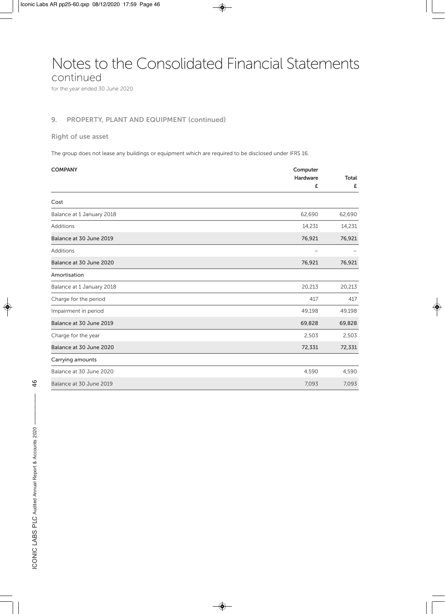### Notes to the Consolidated Financial Statements

continued

for the year ended 30 June 2020

#### **9. PROPERTY, PLANT AND EQUIPMENT (continued)**

#### **Right of use asset**

The group does not lease any buildings or equipment which are required to be disclosed under IFRS 16.

| <b>COMPANY</b>            | Computer<br>Hardware | Total  |
|---------------------------|----------------------|--------|
|                           | £                    | £      |
| Cost                      |                      |        |
| Balance at 1 January 2018 | 62,690               | 62,690 |
| Additions                 | 14,231               | 14,231 |
| Balance at 30 June 2019   | 76,921               | 76,921 |
| Additions                 |                      |        |
| Balance at 30 June 2020   | 76,921               | 76,921 |
| Amortisation              |                      |        |
| Balance at 1 January 2018 | 20,213               | 20,213 |
| Charge for the period     | 417                  | 417    |
| Impairment in period      | 49,198               | 49,198 |
| Balance at 30 June 2019   | 69,828               | 69,828 |
| Charge for the year       | 2,503                | 2,503  |
| Balance at 30 June 2020   | 72,331               | 72,331 |
| Carrying amounts          |                      |        |
| Balance at 30 June 2020   | 4,590                | 4,590  |
| Balance at 30 June 2019   | 7,093                | 7,093  |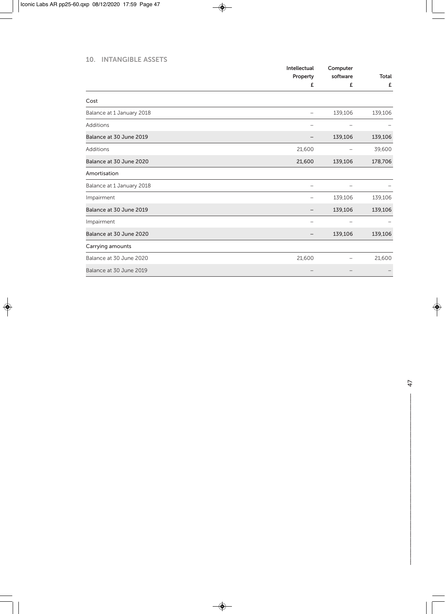#### **10. INTANGIBLE ASSETS**

|                           | Intellectual | Computer<br>software |                   |  |
|---------------------------|--------------|----------------------|-------------------|--|
|                           | Property     |                      | <b>Total</b><br>£ |  |
|                           | £            | £                    |                   |  |
| Cost                      |              |                      |                   |  |
| Balance at 1 January 2018 | -            | 139,106              | 139,106           |  |
| Additions                 |              |                      |                   |  |
| Balance at 30 June 2019   |              | 139,106              | 139,106           |  |
| <b>Additions</b>          | 21,600       |                      | 39,600            |  |
| Balance at 30 June 2020   | 21,600       | 139,106              | 178,706           |  |
| Amortisation              |              |                      |                   |  |
| Balance at 1 January 2018 |              |                      |                   |  |
| Impairment                |              | 139,106              | 139,106           |  |
| Balance at 30 June 2019   |              | 139,106              | 139,106           |  |
| Impairment                |              |                      |                   |  |
| Balance at 30 June 2020   |              | 139,106              | 139,106           |  |
| Carrying amounts          |              |                      |                   |  |
| Balance at 30 June 2020   | 21,600       |                      | 21,600            |  |
| Balance at 30 June 2019   |              |                      |                   |  |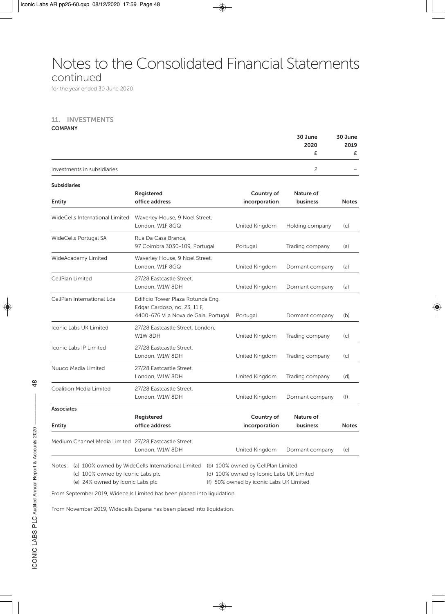### Notes to the Consolidated Financial Statements

### continued

for the year ended 30 June 2020

#### **11. INVESTMENTS**

**COMPANY** 

|                                                       |                                                                                                           |                             | 30 June               | 30 June      |
|-------------------------------------------------------|-----------------------------------------------------------------------------------------------------------|-----------------------------|-----------------------|--------------|
|                                                       |                                                                                                           |                             | 2020<br>£             | 2019<br>£    |
| Investments in subsidiaries                           |                                                                                                           |                             | $\overline{c}$        |              |
| <b>Subsidiaries</b>                                   |                                                                                                           |                             |                       |              |
| <b>Entity</b>                                         | Registered<br>office address                                                                              | Country of<br>incorporation | Nature of<br>business | <b>Notes</b> |
| WideCells International Limited                       | Waverley House, 9 Noel Street,<br>London, W1F 8GQ                                                         | United Kingdom              | Holding company       | (c)          |
| WideCells Portugal SA                                 | Rua Da Casa Branca,<br>97 Coimbra 3030-109, Portugal                                                      | Portugal                    | Trading company       | (a)          |
| WideAcademy Limited                                   | Waverley House, 9 Noel Street,<br>London, W1F 8GQ                                                         | United Kingdom              | Dormant company       | (a)          |
| CellPlan Limited                                      | 27/28 Eastcastle Street.<br>London, W1W 8DH                                                               | United Kingdom              | Dormant company       | (a)          |
| CellPlan International Lda                            | Edificio Tower Plaza Rotunda Eng,<br>Edgar Cardoso, no. 23, 11 F,<br>4400-676 Vila Nova de Gaia, Portugal | Portugal                    | Dormant company       | (b)          |
| <b>Iconic Labs UK Limited</b>                         | 27/28 Eastcastle Street, London,<br>W1W 8DH                                                               | United Kingdom              | Trading company       | (c)          |
| Iconic Labs IP Limited                                | 27/28 Eastcastle Street,<br>London, W1W 8DH                                                               | United Kingdom              | Trading company       | (c)          |
| Nuuco Media Limited                                   | 27/28 Eastcastle Street,<br>London, W1W 8DH                                                               | United Kingdom              | Trading company       | (d)          |
| Coalition Media Limited                               | 27/28 Eastcastle Street,<br>London, W1W 8DH                                                               | United Kingdom              | Dormant company       | (f)          |
| <b>Associates</b>                                     |                                                                                                           |                             |                       |              |
| <b>Entity</b>                                         | Registered<br>office address                                                                              | Country of<br>incorporation | Nature of<br>business | <b>Notes</b> |
| Medium Channel Media Limited 27/28 Eastcastle Street. | London, W1W 8DH                                                                                           | United Kingdom              | Dormant company       | (e)          |

Notes: (a) 100% owned by WideCells International Limited (b) 100% owned by CellPlan Limited (c) 100% owned by Iconic Labs plc (d) 100% owned by Iconic Labs UK Limited

(e) 24% owned by Iconic Labs plc (f) 50% owned by iconic Labs UK Limited

From September 2019, Widecells Limited has been placed into liquidation.

From November 2019, Widecells Espana has been placed into liquidation.

 $\frac{8}{4}$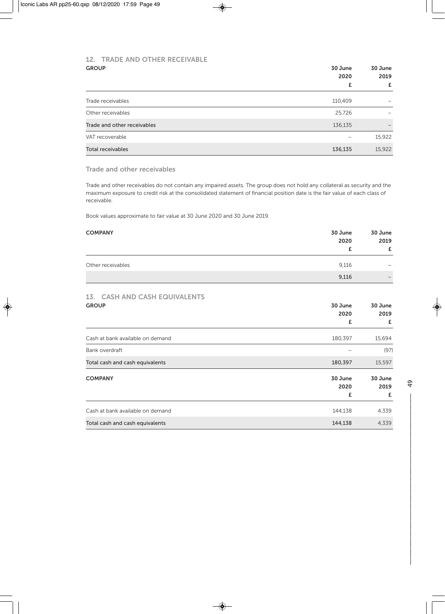### **12. TRADE AND OTHER RECEIVABLE**

| <b>GROUP</b>                | 30 June<br>2020 |           |
|-----------------------------|-----------------|-----------|
|                             | £               | 2019<br>£ |
| Trade receivables           | 110,409         |           |
| Other receivables           | 25,726          |           |
| Trade and other receivables | 136,135         |           |
| VAT recoverable             | -               | 15,922    |
| <b>Total receivables</b>    | 136,135         | 15,922    |

**Trade and other receivables** 

Trade and other receivables do not contain any impaired assets. The group does not hold any collateral as security and the maximum exposure to credit risk at the consolidated statement of financial position date is the fair value of each class of receivable.

Book values approximate to fair value at 30 June 2020 and 30 June 2019.

| <b>COMPANY</b>    | 30 June<br>2020 | 30 June<br>2019<br>£                                                      |
|-------------------|-----------------|---------------------------------------------------------------------------|
| Other receivables | 9,116           | $\hspace{1.0cm} \rule{1.5cm}{0.15cm} \hspace{1.0cm} \rule{1.5cm}{0.15cm}$ |
|                   | 9,116           | $\qquad \qquad -$                                                         |

### **13. CASH AND CASH EQUIVALENTS**

| <b>GROUP</b>                     | 30 June | 30 June |
|----------------------------------|---------|---------|
|                                  | 2020    | 2019    |
|                                  | £       | £       |
| Cash at bank available on demand | 180,397 | 15,694  |
| Bank overdraft                   |         | (97)    |
| Total cash and cash equivalents  | 180,397 | 15,597  |
| <b>COMPANY</b>                   | 30 June | 30 June |
|                                  | 2020    | 2019    |
|                                  | £       | £       |
| Cash at bank available on demand | 144,138 | 4,339   |
| Total cash and cash equivalents  | 144,138 | 4,339   |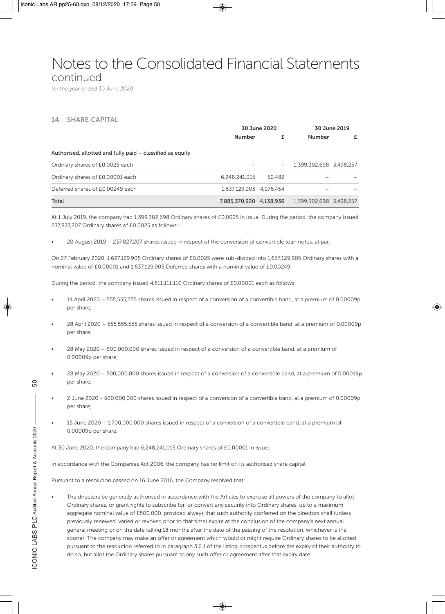### Notes to the Consolidated Financial Statements

#### continued

for the year ended 30 June 2020

#### **14. SHARE CAPITAL**

|                                                            | 30 June 2020            |        |                         | 30 June 2019 |
|------------------------------------------------------------|-------------------------|--------|-------------------------|--------------|
|                                                            | <b>Number</b>           |        | <b>Number</b>           | £            |
| Authorised, allotted and fully paid – classified as equity |                         |        |                         |              |
| Ordinary shares of £0.0025 each                            |                         |        | 1,399,302,698 3,498,257 |              |
| Ordinary shares of £0.00001 each                           | 6.248.241.015           | 62.482 |                         |              |
| Deferred shares of £0.00249 each                           | 1.637.129.905 4.076.454 |        |                         |              |
| Total                                                      | 7,885,370,920 4,138,936 |        | 1,399,302,698 3,498,257 |              |

At 1 July 2019, the company had 1,399,302,698 Ordinary shares of £0.0025 in issue. During the period, the company issued 237,837,207 Ordinary shares of £0.0025 as follows:

• 20 August 2019 – 237,827,207 shares issued in respect of the conversion of convertible loan notes, at par.

On 27 February 2020, 1,637,129,905 Ordinary shares of £0.0025 were sub-divided into 1,637,129,905 Ordinary shares with a nominal value of £0.00001 and 1,637,129,905 Deferred shares with a nominal value of £0.00249.

During the period, the company issued 4,611,111,110 Ordinary shares of £0.00001 each as follows:

- 14 April 2020 555,555,555 shares issued in respect of a conversion of a convertible band, at a premium of 0.00009p per share;
- 28 April 2020 555,555,555 shares issued in respect of a conversion of a convertible band, at a premium of 0.00009p per share;
- 28 May 2020 800,000,000 shares issued in respect of a conversion of a convertible band, at a premium of 0.00009p per share;
- 28 May 2020 500,000,000 shares issued in respect of a conversion of a convertible band, at a premium of 0.00019p per share;
- 2 June 2020 500,000,000 shares issued in respect of a conversion of a convertible band, at a premium of 0.00009p per share;
- 15 June 2020 1,700,000,000 shares issued in respect of a conversion of a convertible band, at a premium of 0.00009p per share.

At 30 June 2020, the company had 6,248,241,015 Ordinary shares of £0.00001 in issue.

In accordance with the Companies Act 2006, the company has no limit on its authorised share capital.

Pursuant to a resolution passed on 16 June 2016, the Company resolved that:

• The directors be generally authorised in accordance with the Articles to exercise all powers of the company to allot Ordinary shares, or grant rights to subscribe for, or convert any security into Ordinary shares, up to a maximum aggregate nominal value of £500,000, provided always that such authority conferred on the directors shall (unless previously renewed, varied or revoked prior to that time) expire at the conclusion of the company's next annual general meeting or on the date falling 18 months after the date of the passing of the resolution, whichever is the sooner. The company may make an offer or agreement which would or might require Ordinary shares to be allotted pursuant to the resolution referred to in paragraph 3.6.1 of the listing prospectus before the expiry of their authority to do so, but allot the Ordinary shares pursuant to any such offer or agreement after that expiry date.

 $\overline{0}$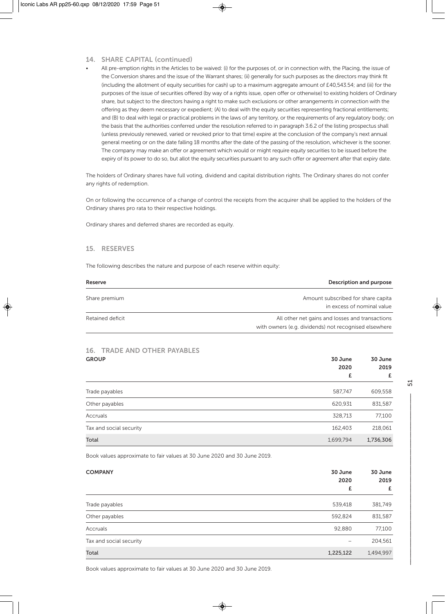#### **14. SHARE CAPITAL (continued)**

• All pre-emption rights in the Articles to be waived: (i) for the purposes of, or in connection with, the Placing, the issue of the Conversion shares and the issue of the Warrant shares; (ii) generally for such purposes as the directors may think fit (including the allotment of equity securities for cash) up to a maximum aggregate amount of £40,543.54; and (iii) for the purposes of the issue of securities offered (by way of a rights issue, open offer or otherwise) to existing holders of Ordinary share, but subject to the directors having a right to make such exclusions or other arrangements in connection with the offering as they deem necessary or expedient; (A) to deal with the equity securities representing fractional entitlements; and (B) to deal with legal or practical problems in the laws of any territory, or the requirements of any regulatory body; on the basis that the authorities conferred under the resolution referred to in paragraph 3.6.2 of the listing prospectus shall (unless previously renewed, varied or revoked prior to that time) expire at the conclusion of the company's next annual general meeting or on the date falling 18 months after the date of the passing of the resolution, whichever is the sooner. The company may make an offer or agreement which would or might require equity securities to be issued before the expiry of its power to do so, but allot the equity securities pursuant to any such offer or agreement after that expiry date.

The holders of Ordinary shares have full voting, dividend and capital distribution rights. The Ordinary shares do not confer any rights of redemption.

On or following the occurrence of a change of control the receipts from the acquirer shall be applied to the holders of the Ordinary shares pro rata to their respective holdings.

Ordinary shares and deferred shares are recorded as equity.

#### **15. RESERVES**

The following describes the nature and purpose of each reserve within equity:

| Reserve          | <b>Description and purpose</b>                                                                           |
|------------------|----------------------------------------------------------------------------------------------------------|
| Share premium    | Amount subscribed for share capita<br>in excess of nominal value                                         |
| Retained deficit | All other net gains and losses and transactions<br>with owners (e.g. dividends) not recognised elsewhere |

### **16. TRADE AND OTHER PAYABLES**

| <b>GROUP</b>            | 30 June<br>2020 | 30 June<br>2019 |  |
|-------------------------|-----------------|-----------------|--|
|                         | £               | £               |  |
| Trade payables          | 587,747         | 609,558         |  |
| Other payables          | 620,931         | 831,587         |  |
| Accruals                | 328,713         | 77,100          |  |
| Tax and social security | 162,403         | 218,061         |  |
| Total                   | 1,699,794       | 1,736,306       |  |

Book values approximate to fair values at 30 June 2020 and 30 June 2019.

| <b>COMPANY</b>          | 30 June<br>2020<br>£ | 30 June<br>2019<br>£ |
|-------------------------|----------------------|----------------------|
| Trade payables          | 539,418              | 381,749              |
| Other payables          | 592,824              | 831,587              |
| Accruals                | 92,880               | 77,100               |
| Tax and social security | -                    | 204,561              |
| Total                   | 1,225,122            | 1,494,997            |

Book values approximate to fair values at 30 June 2020 and 30 June 2019.

넜  $\mathsf{S1}\hspace{-.1em}1$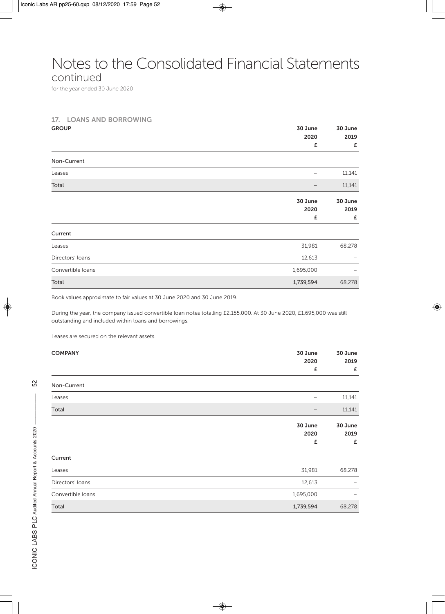### Notes to the Consolidated Financial Statements

continued

for the year ended 30 June 2020

#### **17. LOANS AND BORROWING**

| <b>GROUP</b>      | 30 June<br>2020      | 30 June<br>2019      |
|-------------------|----------------------|----------------------|
|                   | £                    | £                    |
| Non-Current       |                      |                      |
| Leases            |                      | 11,141               |
| Total             |                      | 11,141               |
|                   | 30 June<br>2020<br>£ | 30 June<br>2019<br>£ |
| Current           |                      |                      |
| Leases            | 31,981               | 68,278               |
| Directors' loans  | 12,613               |                      |
| Convertible loans | 1,695,000            |                      |
| Total             | 1,739,594            | 68,278               |

Book values approximate to fair values at 30 June 2020 and 30 June 2019.

During the year, the company issued convertible loan notes totalling £2,155,000. At 30 June 2020, £1,695,000 was still outstanding and included within loans and borrowings.

Leases are secured on the relevant assets.

| <b>COMPANY</b>    | 30 June   | 30 June |  |
|-------------------|-----------|---------|--|
|                   | 2020      | 2019    |  |
|                   | £         | £       |  |
| Non-Current       |           |         |  |
| Leases            |           | 11,141  |  |
| Total             |           | 11,141  |  |
|                   | 30 June   | 30 June |  |
|                   | 2020      | 2019    |  |
|                   | £         | £       |  |
| Current           |           |         |  |
| Leases            | 31,981    | 68,278  |  |
| Directors' loans  | 12,613    | -       |  |
| Convertible loans | 1,695,000 |         |  |
| Total             | 1,739,594 | 68,278  |  |
|                   |           |         |  |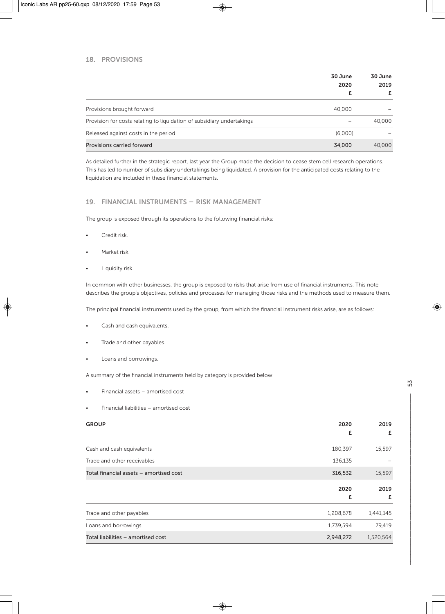#### **18. PROVISIONS**

|                                                                        | 30 June<br>2020 | 30 June<br>2019 |  |
|------------------------------------------------------------------------|-----------------|-----------------|--|
|                                                                        |                 | £               |  |
| Provisions brought forward                                             | 40,000          |                 |  |
| Provision for costs relating to liquidation of subsidiary undertakings |                 | 40,000          |  |
| Released against costs in the period                                   | (6.000)         |                 |  |
| <b>Provisions carried forward</b>                                      | 34,000          | 40,000          |  |

As detailed further in the strategic report, last year the Group made the decision to cease stem cell research operations. This has led to number of subsidiary undertakings being liquidated. A provision for the anticipated costs relating to the liquidation are included in these financial statements.

#### **19. FINANCIAL INSTRUMENTS – RISK MANAGEMENT**

The group is exposed through its operations to the following financial risks:

- Credit risk.
- Market risk.
- Liquidity risk.

In common with other businesses, the group is exposed to risks that arise from use of financial instruments. This note describes the group's objectives, policies and processes for managing those risks and the methods used to measure them.

The principal financial instruments used by the group, from which the financial instrument risks arise, are as follows:

- Cash and cash equivalents.
- Trade and other payables.
- Loans and borrowings.

A summary of the financial instruments held by category is provided below:

- Financial assets amortised cost
- Financial liabilities amortised cost

| <b>GROUP</b>                            | 2020      | 2019      |
|-----------------------------------------|-----------|-----------|
|                                         | £         | £         |
| Cash and cash equivalents               | 180,397   | 15,597    |
| Trade and other receivables             | 136,135   |           |
| Total financial assets - amortised cost | 316,532   | 15,597    |
|                                         | 2020      | 2019      |
|                                         | £         | £         |
| Trade and other payables                | 1,208,678 | 1,441,145 |
| Loans and borrowings                    | 1,739,594 | 79,419    |
| Total liabilities - amortised cost      | 2,948,272 | 1,520,564 |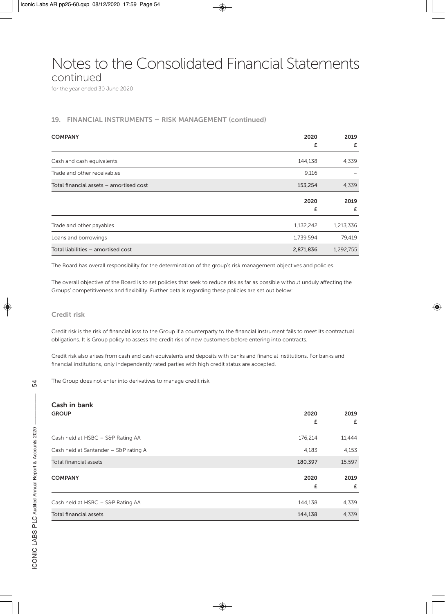Notes to the Consolidated Financial Statements

continued

for the year ended 30 June 2020

#### **19. FINANCIAL INSTRUMENTS – RISK MANAGEMENT (continued)**

| <b>COMPANY</b>                          | 2020      | 2019      |  |
|-----------------------------------------|-----------|-----------|--|
|                                         | £         | £         |  |
| Cash and cash equivalents               | 144,138   | 4,339     |  |
| Trade and other receivables             | 9,116     |           |  |
| Total financial assets - amortised cost | 153,254   | 4,339     |  |
|                                         | 2020      | 2019      |  |
|                                         | £         | £         |  |
| Trade and other payables                | 1,132,242 | 1,213,336 |  |
| Loans and borrowings                    | 1,739,594 | 79,419    |  |
| Total liabilities - amortised cost      | 2,871,836 | 1,292,755 |  |

The Board has overall responsibility for the determination of the group's risk management objectives and policies.

The overall objective of the Board is to set policies that seek to reduce risk as far as possible without unduly affecting the Groups' competitiveness and flexibility. Further details regarding these policies are set out below:

#### **Credit risk**

Credit risk is the risk of financial loss to the Group if a counterparty to the financial instrument fails to meet its contractual obligations. It is Group policy to assess the credit risk of new customers before entering into contracts.

Credit risk also arises from cash and cash equivalents and deposits with banks and financial institutions. For banks and financial institutions, only independently rated parties with high credit status are accepted.

The Group does not enter into derivatives to manage credit risk.

### **Cash in bank**

| <b>GROUP</b>                          | 2020      | 2019<br>£ |  |
|---------------------------------------|-----------|-----------|--|
|                                       | £         |           |  |
| Cash held at HSBC - S&P Rating AA     | 176,214   | 11,444    |  |
| Cash held at Santander - S&P rating A | 4,183     | 4,153     |  |
| Total financial assets                | 180,397   | 15,597    |  |
| <b>COMPANY</b>                        | 2020<br>£ | 2019<br>£ |  |
|                                       |           |           |  |
| Cash held at HSBC - S&P Rating AA     | 144,138   | 4,339     |  |
| Total financial assets                | 144,138   | 4,339     |  |

 $\mathbb{Z}$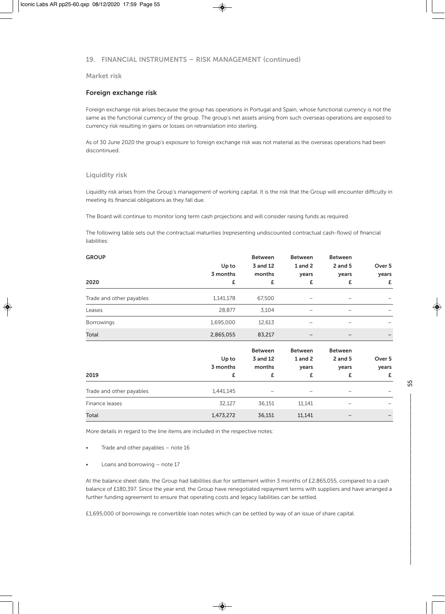#### **19. FINANCIAL INSTRUMENTS – RISK MANAGEMENT (continued)**

#### **Market risk**

#### **Foreign exchange risk**

Foreign exchange risk arises because the group has operations in Portugal and Spain, whose functional currency is not the same as the functional currency of the group. The group's net assets arising from such overseas operations are exposed to currency risk resulting in gains or losses on retranslation into sterling.

As of 30 June 2020 the group's exposure to foreign exchange risk was not material as the overseas operations had been discontinued.

#### **Liquidity risk**

Liquidity risk arises from the Group's management of working capital. It is the risk that the Group will encounter difficulty in meeting its financial obligations as they fall due.

The Board will continue to monitor long term cash projections and will consider raising funds as required.

The following table sets out the contractual maturities (representing undiscounted contractual cash-flows) of financial liabilities:

| <b>GROUP</b>             | Up to<br>3 months | <b>Between</b><br>3 and 12<br>months | <b>Between</b><br>1 and 2<br>years | <b>Between</b><br>$2$ and $5$<br>years | Over 5<br>years |
|--------------------------|-------------------|--------------------------------------|------------------------------------|----------------------------------------|-----------------|
| 2020                     | £                 | £                                    | £                                  | £                                      | £               |
| Trade and other payables | 1,141,178         | 67,500                               |                                    |                                        |                 |
| Leases                   | 28,877            | 3,104                                | -                                  |                                        |                 |
| <b>Borrowings</b>        | 1,695,000         | 12,613                               |                                    |                                        |                 |
| Total                    | 2,865,055         | 83,217                               |                                    |                                        |                 |
|                          |                   | <b>Between</b>                       | <b>Between</b>                     | <b>Between</b>                         |                 |
|                          | Up to             | 3 and 12                             | 1 and 2                            | $2$ and $5$                            | Over 5          |
|                          | 3 months          | months                               | years                              | years                                  | years           |
| 2019                     | £                 | £                                    | £                                  | £                                      | £               |
| Trade and other payables | 1,441,145         |                                      |                                    |                                        |                 |
| Finance leases           | 32,127            | 36,151                               | 11,141                             |                                        |                 |
| Total                    | 1,473,272         | 36,151                               | 11,141                             |                                        |                 |

More details in regard to the line items are included in the respective notes:

- Trade and other payables note 16
- Loans and borrowing note 17

At the balance sheet date, the Group had liabilities due for settlement within 3 months of £2,865,055, compared to a cash balance of £180,397. Since the year end, the Group have renegotiated repayment terms with suppliers and have arranged a further funding agreement to ensure that operating costs and legacy liabilities can be settled.

£1,695,000 of borrowings re convertible loan notes which can be settled by way of an issue of share capital.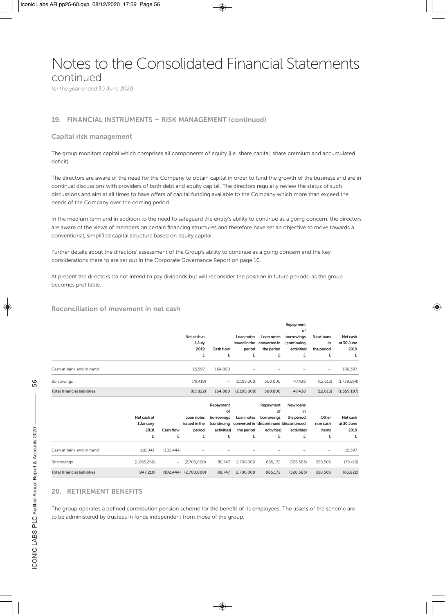### Notes to the Consolidated Financial Statements

continued

for the year ended 30 June 2020

#### **19. FINANCIAL INSTRUMENTS – RISK MANAGEMENT (continued)**

#### **Capital risk management**

The group monitors capital which comprises all components of equity (i.e. share capital, share premium and accumulated deficit).

The directors are aware of the need for the Company to obtain capital in order to fund the growth of the business and are in continual discussions with providers of both debt and equity capital. The directors regularly review the status of such discussions and aim at all times to have offers of capital funding available to the Company which more than exceed the needs of the Company over the coming period.

In the medium term and in addition to the need to safeguard the entity's ability to continue as a going concern, the directors are aware of the views of members on certain financing structures and therefore have set an objective to move towards a conventional, simplified capital structure based on equity capital.

Further details about the directors' assessment of the Group's ability to continue as a going concern and the key considerations there to are set out in the Corporate Governance Report on page 10.

At present the directors do not intend to pay dividends but will reconsider the position in future periods, as the group becomes profitable.

#### **Reconciliation of movement in net cash**

|                                    |                                       |                          | Net cash at<br>1 July<br>2019<br>£         | Cash flow<br>£                                                   | Loan notes<br>issued in the<br>period<br>£ | Loan notes<br>converted in<br>the period<br>£                                                 | Repayment<br>of<br>borrowings<br>(continuing<br>activities)<br>£ | New loans<br>in<br>the period<br>£ | Net cash<br>at 30 June<br>2019<br>£ |
|------------------------------------|---------------------------------------|--------------------------|--------------------------------------------|------------------------------------------------------------------|--------------------------------------------|-----------------------------------------------------------------------------------------------|------------------------------------------------------------------|------------------------------------|-------------------------------------|
| Cash at bank and in hand           |                                       |                          | 15,597                                     | 164,800                                                          |                                            |                                                                                               |                                                                  | $\qquad \qquad -$                  | 180,397                             |
| <b>Borrowings</b>                  |                                       |                          | (79, 419)                                  | $\overline{\phantom{a}}$                                         | (2, 195, 000)                              | 500,000                                                                                       | 47,438                                                           | (12, 613)                          | (1,739,594)                         |
| <b>Total financial liabilities</b> |                                       |                          | (63, 822)                                  | 164,800                                                          | (2, 195, 000)                              | 500,000                                                                                       | 47,438                                                           | (12, 613)                          | (1,559,197)                         |
|                                    | Net cash at<br>1 January<br>2018<br>£ | Cash flow<br>£           | Loan notes<br>issued in the<br>period<br>£ | Repayment<br>of<br>borrowings<br>(continuing<br>activities)<br>£ | Loan notes<br>the period<br>£              | Repayment<br>of<br>borrowings<br>converted in (discontinued (discontinued<br>activities)<br>£ | New loans<br>in<br>the period<br>activities)<br>£                | Other<br>non cash<br>items<br>£    | Net cash<br>at 30 June<br>2019<br>£ |
| Cash at bank and in hand           | 118,041                               | (102, 444)               |                                            |                                                                  |                                            |                                                                                               |                                                                  | -                                  | 15,597                              |
| Borrowings                         | (1,065,260)                           | $\overline{\phantom{0}}$ | (2,700,000)                                | 88.747                                                           | 2,700,000                                  | 865,172                                                                                       | (326, 583)                                                       | 358,505                            | (79, 419)                           |
| <b>Total financial liabilities</b> | (947, 219)                            | (102, 444)               | (2,700,000)                                | 88,747                                                           | 2,700,000                                  | 865,172                                                                                       | (326, 583)                                                       | 358,505                            | (63, 822)                           |

#### **20. RETIREMENT BENEFITS**

The group operates a defined contribution pension scheme for the benefit of its employees. The assets of the scheme are to be administered by trustees in funds independent from those of the group.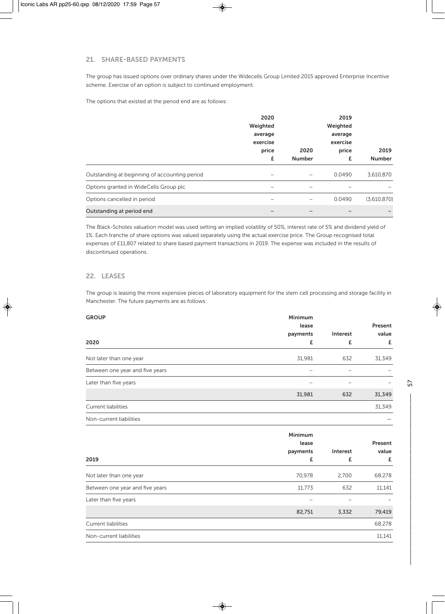#### **21. SHARE-BASED PAYMENTS**

The group has issued options over ordinary shares under the Widecells Group Limited 2015 approved Enterprise Incentive scheme. Exercise of an option is subject to continued employment.

The options that existed at the period end are as follows:

|                                               | 2020       |               | 2019                |                       |  |  |
|-----------------------------------------------|------------|---------------|---------------------|-----------------------|--|--|
|                                               | Weighted   |               | Weighted<br>average |                       |  |  |
|                                               | average    |               |                     |                       |  |  |
|                                               | exercise   |               |                     | exercise              |  |  |
|                                               | price<br>£ | 2020          | price<br>£          | 2019<br><b>Number</b> |  |  |
|                                               |            | <b>Number</b> |                     |                       |  |  |
| Outstanding at beginning of accounting period |            |               | 0.0490              | 3,610,870             |  |  |
| Options granted in WideCells Group plc        |            |               |                     |                       |  |  |
| Options cancelled in period                   |            |               | 0.0490              | (3,610,870)           |  |  |
| Outstanding at period end                     |            |               |                     |                       |  |  |

The Black-Scholes valuation model was used setting an implied volatility of 50%, interest rate of 5% and dividend yield of 1%. Each tranche of share options was valued separately using the actual exercise price. The Group recognised total expenses of £11,807 related to share based payment transactions in 2019. The expense was included in the results of discontinued operations.

#### **22. LEASES**

The group is leasing the more expensive pieces of laboratory equipment for the stem cell processing and storage facility in Manchester. The future payments are as follows:

| <b>GROUP</b>                    | Minimum<br>lease |          | Present |
|---------------------------------|------------------|----------|---------|
|                                 | payments         | Interest | value   |
| 2020                            | £                | £        | £       |
| Not later than one year         | 31,981           | 632      | 31,349  |
| Between one year and five years |                  |          |         |
| Later than five years           |                  | -        |         |
|                                 | 31,981           | 632      | 31,349  |
| <b>Current liabilities</b>      |                  |          | 31,349  |
| Non-current liabilities         |                  |          |         |

|                                 | Minimum  |          |         |
|---------------------------------|----------|----------|---------|
|                                 | lease    |          | Present |
| 2019                            | payments | Interest | value   |
|                                 | £        | £        | £       |
| Not later than one year         | 70,978   | 2,700    | 68,278  |
| Between one year and five years | 11,773   | 632      | 11,141  |
| Later than five years           |          |          |         |
|                                 | 82,751   | 3,332    | 79,419  |
| <b>Current liabilities</b>      |          |          | 68,278  |
| Non-current liabilities         |          |          | 11,141  |
|                                 |          |          |         |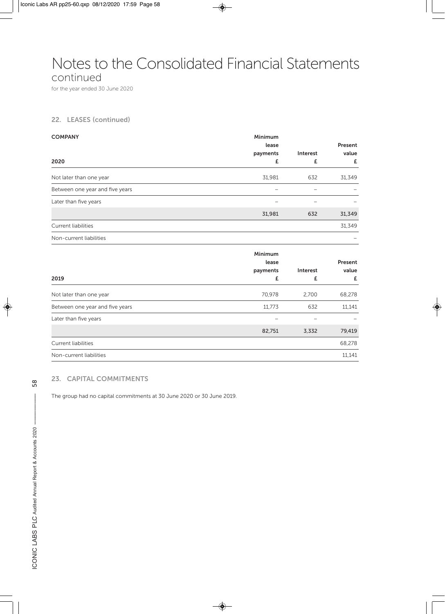### Notes to the Consolidated Financial Statements

continued

for the year ended 30 June 2020

#### **22. LEASES (continued)**

| <b>COMPANY</b>                  | Minimum  |          |         |
|---------------------------------|----------|----------|---------|
|                                 | lease    |          | Present |
|                                 | payments | Interest | value   |
| 2020                            | £        | £        | £       |
| Not later than one year         | 31,981   | 632      | 31,349  |
| Between one year and five years |          | -        |         |
| Later than five years           |          | -        |         |
|                                 | 31,981   | 632      | 31,349  |
| Current liabilities             |          |          | 31,349  |
| Non-current liabilities         |          |          |         |
|                                 |          |          |         |

|                                 | Minimum<br>lease<br>payments | Interest | Present<br>value |
|---------------------------------|------------------------------|----------|------------------|
| 2019                            | £                            | £        | £                |
| Not later than one year         | 70,978                       | 2,700    | 68,278           |
| Between one year and five years | 11,773                       | 632      | 11,141           |
| Later than five years           |                              |          |                  |
|                                 | 82,751                       | 3,332    | 79,419           |
| Current liabilities             |                              |          | 68,278           |
| Non-current liabilities         |                              |          | 11,141           |

#### **23. CAPITAL COMMITMENTS**

The group had no capital commitments at 30 June 2020 or 30 June 2019.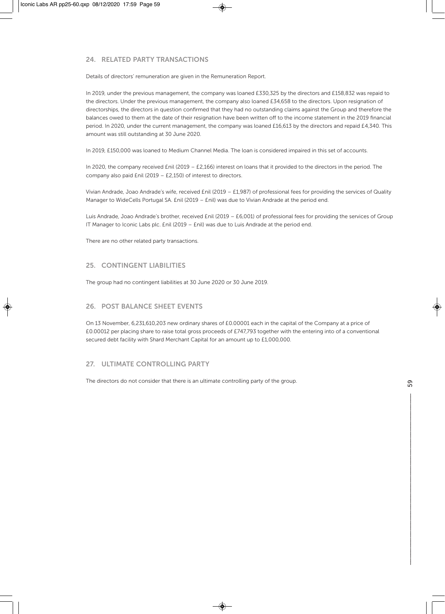#### **24. RELATED PARTY TRANSACTIONS**

Details of directors' remuneration are given in the Remuneration Report.

In 2019, under the previous management, the company was loaned £330,325 by the directors and £158,832 was repaid to the directors. Under the previous management, the company also loaned £34,658 to the directors. Upon resignation of directorships, the directors in question confirmed that they had no outstanding claims against the Group and therefore the balances owed to them at the date of their resignation have been written off to the income statement in the 2019 financial period. In 2020, under the current management, the company was loaned £16,613 by the directors and repaid £4,340. This amount was still outstanding at 30 June 2020.

In 2019, £150,000 was loaned to Medium Channel Media. The loan is considered impaired in this set of accounts.

In 2020, the company received £nil (2019 – £2,166) interest on loans that it provided to the directors in the period. The company also paid £nil (2019 – £2,150) of interest to directors.

Vivian Andrade, Joao Andrade's wife, received £nil (2019 – £1,987) of professional fees for providing the services of Quality Manager to WideCells Portugal SA. £nil (2019 – £nil) was due to Vivian Andrade at the period end.

Luis Andrade, Joao Andrade's brother, received £nil (2019 – £6,001) of professional fees for providing the services of Group IT Manager to Iconic Labs plc. £nil (2019 – £nil) was due to Luis Andrade at the period end.

There are no other related party transactions.

#### **25. CONTINGENT LIABILITIES**

The group had no contingent liabilities at 30 June 2020 or 30 June 2019.

#### **26. POST BALANCE SHEET EVENTS**

On 13 November, 6,231,610,203 new ordinary shares of £0.00001 each in the capital of the Company at a price of £0.00012 per placing share to raise total gross proceeds of £747,793 together with the entering into of a conventional secured debt facility with Shard Merchant Capital for an amount up to £1,000,000.

#### **27. ULTIMATE CONTROLLING PARTY**

The directors do not consider that there is an ultimate controlling party of the group.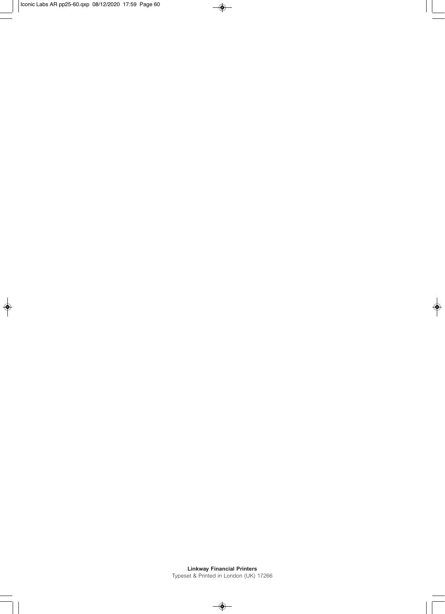**Linkway Financial Printers**  Typeset & Printed in London (UK) 17266